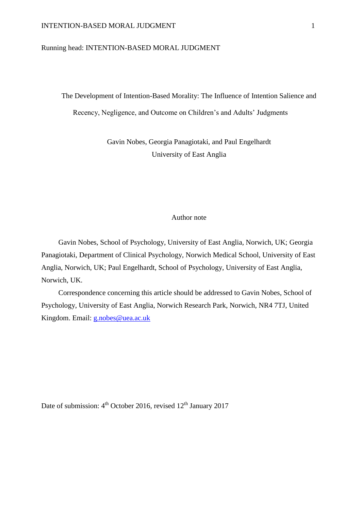### Running head: INTENTION-BASED MORAL JUDGMENT

The Development of Intention-Based Morality: The Influence of Intention Salience and Recency, Negligence, and Outcome on Children's and Adults' Judgments

> Gavin Nobes, Georgia Panagiotaki, and Paul Engelhardt University of East Anglia

### Author note

Gavin Nobes, School of Psychology, University of East Anglia, Norwich, UK; Georgia Panagiotaki, Department of Clinical Psychology, Norwich Medical School, University of East Anglia, Norwich, UK; Paul Engelhardt, School of Psychology, University of East Anglia, Norwich, UK.

Correspondence concerning this article should be addressed to Gavin Nobes, School of Psychology, University of East Anglia, Norwich Research Park, Norwich, NR4 7TJ, United Kingdom. Email: [g.nobes@uea.ac.uk](mailto:g.nobes@uea.ac.uk)

Date of submission: 4<sup>th</sup> October 2016, revised 12<sup>th</sup> January 2017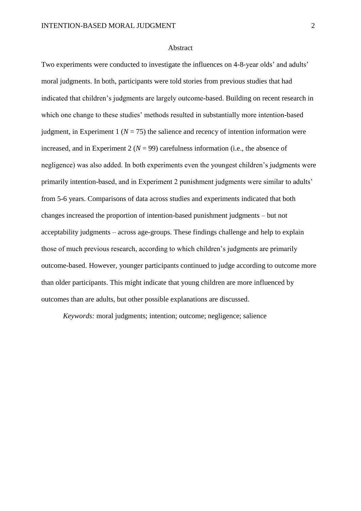#### Abstract

Two experiments were conducted to investigate the influences on 4-8-year olds' and adults' moral judgments. In both, participants were told stories from previous studies that had indicated that children's judgments are largely outcome-based. Building on recent research in which one change to these studies' methods resulted in substantially more intention-based judgment, in Experiment 1 ( $N = 75$ ) the salience and recency of intention information were increased, and in Experiment 2 ( $N = 99$ ) carefulness information (i.e., the absence of negligence) was also added. In both experiments even the youngest children's judgments were primarily intention-based, and in Experiment 2 punishment judgments were similar to adults' from 5-6 years. Comparisons of data across studies and experiments indicated that both changes increased the proportion of intention-based punishment judgments – but not acceptability judgments – across age-groups. These findings challenge and help to explain those of much previous research, according to which children's judgments are primarily outcome-based. However, younger participants continued to judge according to outcome more than older participants. This might indicate that young children are more influenced by outcomes than are adults, but other possible explanations are discussed.

*Keywords:* moral judgments; intention; outcome; negligence; salience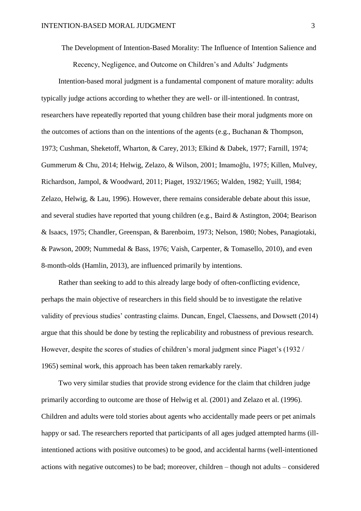The Development of Intention-Based Morality: The Influence of Intention Salience and

Recency, Negligence, and Outcome on Children's and Adults' Judgments

Intention-based moral judgment is a fundamental component of mature morality: adults typically judge actions according to whether they are well- or ill-intentioned. In contrast, researchers have repeatedly reported that young children base their moral judgments more on the outcomes of actions than on the intentions of the agents (e.g., Buchanan & Thompson, 1973; Cushman, Sheketoff, Wharton, & Carey, 2013; Elkind & Dabek, 1977; Farnill, 1974; Gummerum & Chu, 2014; Helwig, Zelazo, & Wilson, 2001; Imamoğlu, 1975; Killen, Mulvey, Richardson, Jampol, & Woodward, 2011; Piaget, 1932/1965; Walden, 1982; Yuill, 1984; Zelazo, Helwig, & Lau, 1996). However, there remains considerable debate about this issue, and several studies have reported that young children (e.g., Baird & Astington, 2004; Bearison & Isaacs, 1975; Chandler, Greenspan, & Barenboim, 1973; Nelson, 1980; Nobes, Panagiotaki, & Pawson, 2009; Nummedal & Bass, 1976; Vaish, Carpenter, & Tomasello, 2010), and even 8-month-olds (Hamlin, 2013), are influenced primarily by intentions.

Rather than seeking to add to this already large body of often-conflicting evidence, perhaps the main objective of researchers in this field should be to investigate the relative validity of previous studies' contrasting claims. Duncan, Engel, Claessens, and Dowsett (2014) argue that this should be done by testing the replicability and robustness of previous research. However, despite the scores of studies of children's moral judgment since Piaget's (1932 / 1965) seminal work, this approach has been taken remarkably rarely.

Two very similar studies that provide strong evidence for the claim that children judge primarily according to outcome are those of Helwig et al. (2001) and Zelazo et al. (1996). Children and adults were told stories about agents who accidentally made peers or pet animals happy or sad. The researchers reported that participants of all ages judged attempted harms (illintentioned actions with positive outcomes) to be good, and accidental harms (well-intentioned actions with negative outcomes) to be bad; moreover, children – though not adults – considered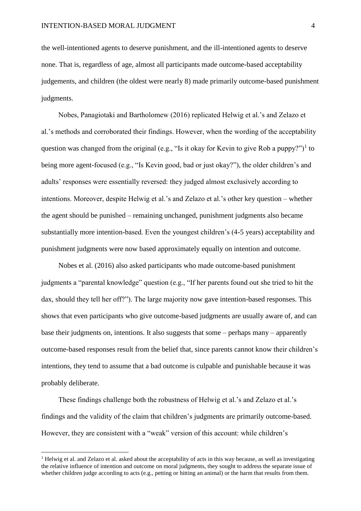the well-intentioned agents to deserve punishment, and the ill-intentioned agents to deserve none. That is, regardless of age, almost all participants made outcome-based acceptability judgements, and children (the oldest were nearly 8) made primarily outcome-based punishment judgments.

Nobes, Panagiotaki and Bartholomew (2016) replicated Helwig et al.'s and Zelazo et al.'s methods and corroborated their findings. However, when the wording of the acceptability question was changed from the original (e.g., "Is it okay for Kevin to give Rob a puppy?")<sup>1</sup> to being more agent-focused (e.g., "Is Kevin good, bad or just okay?"), the older children's and adults' responses were essentially reversed: they judged almost exclusively according to intentions. Moreover, despite Helwig et al.'s and Zelazo et al.'s other key question – whether the agent should be punished – remaining unchanged, punishment judgments also became substantially more intention-based. Even the youngest children's (4-5 years) acceptability and punishment judgments were now based approximately equally on intention and outcome.

Nobes et al. (2016) also asked participants who made outcome-based punishment judgments a "parental knowledge" question (e.g., "If her parents found out she tried to hit the dax, should they tell her off?"). The large majority now gave intention-based responses. This shows that even participants who give outcome-based judgments are usually aware of, and can base their judgments on, intentions. It also suggests that some – perhaps many – apparently outcome-based responses result from the belief that, since parents cannot know their children's intentions, they tend to assume that a bad outcome is culpable and punishable because it was probably deliberate.

These findings challenge both the robustness of Helwig et al.'s and Zelazo et al.'s findings and the validity of the claim that children's judgments are primarily outcome-based. However, they are consistent with a "weak" version of this account: while children's

 $\overline{a}$ 

<sup>&</sup>lt;sup>1</sup> Helwig et al. and Zelazo et al. asked about the acceptability of acts in this way because, as well as investigating the relative influence of intention and outcome on moral judgments, they sought to address the separate issue of whether children judge according to acts (e.g., petting or hitting an animal) or the harm that results from them.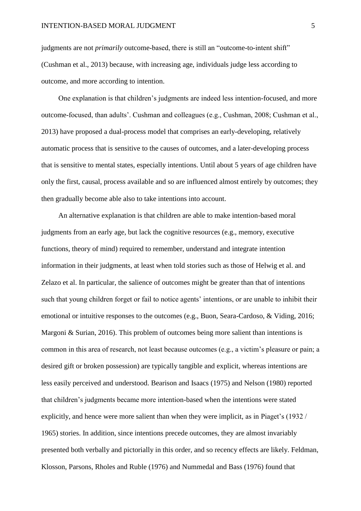judgments are not *primarily* outcome-based, there is still an "outcome-to-intent shift" (Cushman et al., 2013) because, with increasing age, individuals judge less according to outcome, and more according to intention.

One explanation is that children's judgments are indeed less intention-focused, and more outcome-focused, than adults'. Cushman and colleagues (e.g., Cushman, 2008; Cushman et al., 2013) have proposed a dual-process model that comprises an early-developing, relatively automatic process that is sensitive to the causes of outcomes, and a later-developing process that is sensitive to mental states, especially intentions. Until about 5 years of age children have only the first, causal, process available and so are influenced almost entirely by outcomes; they then gradually become able also to take intentions into account.

An alternative explanation is that children are able to make intention-based moral judgments from an early age, but lack the cognitive resources (e.g., memory, executive functions, theory of mind) required to remember, understand and integrate intention information in their judgments, at least when told stories such as those of Helwig et al. and Zelazo et al. In particular, the salience of outcomes might be greater than that of intentions such that young children forget or fail to notice agents' intentions, or are unable to inhibit their emotional or intuitive responses to the outcomes (e.g., Buon, Seara-Cardoso, & Viding, 2016; Margoni & Surian, 2016). This problem of outcomes being more salient than intentions is common in this area of research, not least because outcomes (e.g., a victim's pleasure or pain; a desired gift or broken possession) are typically tangible and explicit, whereas intentions are less easily perceived and understood. Bearison and Isaacs (1975) and Nelson (1980) reported that children's judgments became more intention-based when the intentions were stated explicitly, and hence were more salient than when they were implicit, as in Piaget's (1932 / 1965) stories. In addition, since intentions precede outcomes, they are almost invariably presented both verbally and pictorially in this order, and so recency effects are likely. Feldman, Klosson, Parsons, Rholes and Ruble (1976) and Nummedal and Bass (1976) found that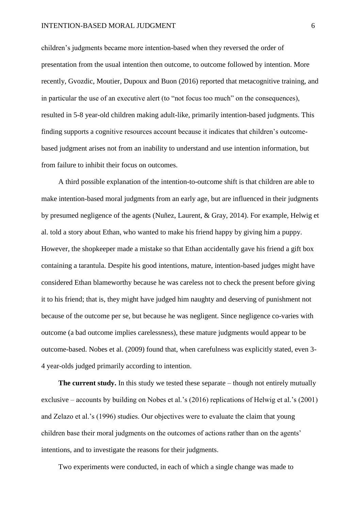children's judgments became more intention-based when they reversed the order of presentation from the usual intention then outcome, to outcome followed by intention. More recently, Gvozdic, Moutier, Dupoux and Buon (2016) reported that metacognitive training, and in particular the use of an executive alert (to "not focus too much" on the consequences), resulted in 5-8 year-old children making adult-like, primarily intention-based judgments. This finding supports a cognitive resources account because it indicates that children's outcomebased judgment arises not from an inability to understand and use intention information, but from failure to inhibit their focus on outcomes.

A third possible explanation of the intention-to-outcome shift is that children are able to make intention-based moral judgments from an early age, but are influenced in their judgments by presumed negligence of the agents (Nuñez, Laurent, & Gray, 2014). For example, Helwig et al. told a story about Ethan, who wanted to make his friend happy by giving him a puppy. However, the shopkeeper made a mistake so that Ethan accidentally gave his friend a gift box containing a tarantula. Despite his good intentions, mature, intention-based judges might have considered Ethan blameworthy because he was careless not to check the present before giving it to his friend; that is, they might have judged him naughty and deserving of punishment not because of the outcome per se, but because he was negligent. Since negligence co-varies with outcome (a bad outcome implies carelessness), these mature judgments would appear to be outcome-based. Nobes et al. (2009) found that, when carefulness was explicitly stated, even 3- 4 year-olds judged primarily according to intention.

**The current study.** In this study we tested these separate – though not entirely mutually exclusive – accounts by building on Nobes et al.'s (2016) replications of Helwig et al.'s (2001) and Zelazo et al.'s (1996) studies. Our objectives were to evaluate the claim that young children base their moral judgments on the outcomes of actions rather than on the agents' intentions, and to investigate the reasons for their judgments.

Two experiments were conducted, in each of which a single change was made to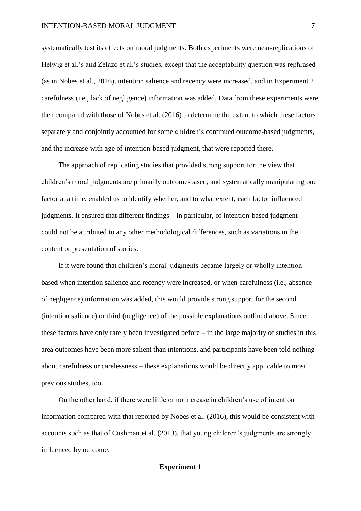systematically test its effects on moral judgments. Both experiments were near-replications of Helwig et al.'s and Zelazo et al.'s studies, except that the acceptability question was rephrased (as in Nobes et al., 2016), intention salience and recency were increased, and in Experiment 2 carefulness (i.e., lack of negligence) information was added. Data from these experiments were then compared with those of Nobes et al. (2016) to determine the extent to which these factors separately and conjointly accounted for some children's continued outcome-based judgments, and the increase with age of intention-based judgment, that were reported there.

The approach of replicating studies that provided strong support for the view that children's moral judgments are primarily outcome-based, and systematically manipulating one factor at a time, enabled us to identify whether, and to what extent, each factor influenced judgments. It ensured that different findings – in particular, of intention-based judgment – could not be attributed to any other methodological differences, such as variations in the content or presentation of stories.

If it were found that children's moral judgments became largely or wholly intentionbased when intention salience and recency were increased, or when carefulness (i.e., absence of negligence) information was added, this would provide strong support for the second (intention salience) or third (negligence) of the possible explanations outlined above. Since these factors have only rarely been investigated before – in the large majority of studies in this area outcomes have been more salient than intentions, and participants have been told nothing about carefulness or carelessness – these explanations would be directly applicable to most previous studies, too.

On the other hand, if there were little or no increase in children's use of intention information compared with that reported by Nobes et al. (2016), this would be consistent with accounts such as that of Cushman et al. (2013), that young children's judgments are strongly influenced by outcome.

#### **Experiment 1**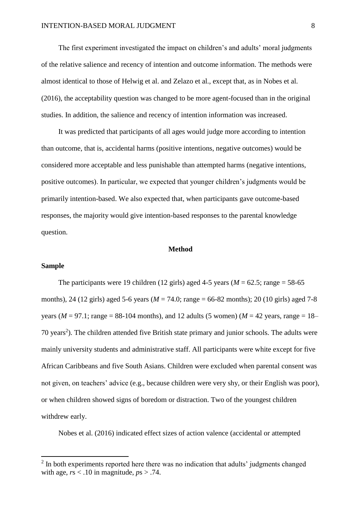The first experiment investigated the impact on children's and adults' moral judgments of the relative salience and recency of intention and outcome information. The methods were almost identical to those of Helwig et al. and Zelazo et al., except that, as in Nobes et al. (2016), the acceptability question was changed to be more agent-focused than in the original studies. In addition, the salience and recency of intention information was increased.

It was predicted that participants of all ages would judge more according to intention than outcome, that is, accidental harms (positive intentions, negative outcomes) would be considered more acceptable and less punishable than attempted harms (negative intentions, positive outcomes). In particular, we expected that younger children's judgments would be primarily intention-based. We also expected that, when participants gave outcome-based responses, the majority would give intention-based responses to the parental knowledge question.

### **Method**

### **Sample**

 $\overline{a}$ 

The participants were 19 children (12 girls) aged 4-5 years ( $M = 62.5$ ; range = 58-65 months), 24 (12 girls) aged 5-6 years (*M* = 74.0; range = 66-82 months); 20 (10 girls) aged 7-8 years ( $M = 97.1$ ; range = 88-104 months), and 12 adults (5 women) ( $M = 42$  years, range = 18– 70 years<sup>2</sup>). The children attended five British state primary and junior schools. The adults were mainly university students and administrative staff. All participants were white except for five African Caribbeans and five South Asians. Children were excluded when parental consent was not given, on teachers' advice (e.g., because children were very shy, or their English was poor), or when children showed signs of boredom or distraction. Two of the youngest children withdrew early.

Nobes et al. (2016) indicated effect sizes of action valence (accidental or attempted

<sup>&</sup>lt;sup>2</sup> In both experiments reported here there was no indication that adults' judgments changed with age,  $rs < 0.10$  in magnitude,  $ps > 0.74$ .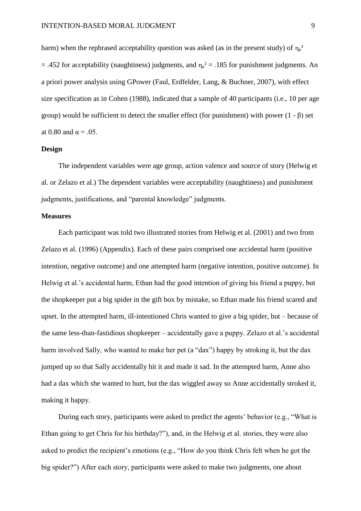harm) when the rephrased acceptability question was asked (as in the present study) of  $\eta_{p}^{2}$  $=$  .452 for acceptability (naughtiness) judgments, and  $\eta_{p}^{2}$  = .185 for punishment judgments. An a priori power analysis using GPower (Faul, Erdfelder, Lang, & Buchner, 2007), with effect size specification as in Cohen (1988), indicated that a sample of 40 participants (i.e., 10 per age group) would be sufficient to detect the smaller effect (for punishment) with power  $(1 - β)$  set at 0.80 and  $\alpha = .05$ .

### **Design**

The independent variables were age group, action valence and source of story (Helwig et al. or Zelazo et al.) The dependent variables were acceptability (naughtiness) and punishment judgments, justifications, and "parental knowledge" judgments.

### **Measures**

Each participant was told two illustrated stories from Helwig et al. (2001) and two from Zelazo et al. (1996) (Appendix). Each of these pairs comprised one accidental harm (positive intention, negative outcome) and one attempted harm (negative intention, positive outcome). In Helwig et al.'s accidental harm, Ethan had the good intention of giving his friend a puppy, but the shopkeeper put a big spider in the gift box by mistake, so Ethan made his friend scared and upset. In the attempted harm, ill-intentioned Chris wanted to give a big spider, but – because of the same less-than-fastidious shopkeeper – accidentally gave a puppy. Zelazo et al.'s accidental harm involved Sally, who wanted to make her pet (a "dax") happy by stroking it, but the dax jumped up so that Sally accidentally hit it and made it sad. In the attempted harm, Anne also had a dax which she wanted to hurt, but the dax wiggled away so Anne accidentally stroked it, making it happy.

During each story, participants were asked to predict the agents' behavior (e.g., "What is Ethan going to get Chris for his birthday?"), and, in the Helwig et al. stories, they were also asked to predict the recipient's emotions (e.g., "How do you think Chris felt when he got the big spider?") After each story, participants were asked to make two judgments, one about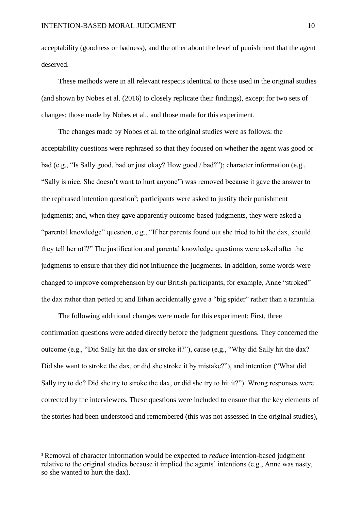acceptability (goodness or badness), and the other about the level of punishment that the agent deserved.

These methods were in all relevant respects identical to those used in the original studies (and shown by Nobes et al. (2016) to closely replicate their findings), except for two sets of changes: those made by Nobes et al., and those made for this experiment.

The changes made by Nobes et al. to the original studies were as follows: the acceptability questions were rephrased so that they focused on whether the agent was good or bad (e.g., "Is Sally good, bad or just okay? How good / bad?"); character information (e.g., "Sally is nice. She doesn't want to hurt anyone") was removed because it gave the answer to the rephrased intention question<sup>3</sup>; participants were asked to justify their punishment judgments; and, when they gave apparently outcome-based judgments, they were asked a "parental knowledge" question, e.g., "If her parents found out she tried to hit the dax, should they tell her off?" The justification and parental knowledge questions were asked after the judgments to ensure that they did not influence the judgments. In addition, some words were changed to improve comprehension by our British participants, for example, Anne "stroked" the dax rather than petted it; and Ethan accidentally gave a "big spider" rather than a tarantula.

The following additional changes were made for this experiment: First, three confirmation questions were added directly before the judgment questions. They concerned the outcome (e.g., "Did Sally hit the dax or stroke it?"), cause (e.g., "Why did Sally hit the dax? Did she want to stroke the dax, or did she stroke it by mistake?"), and intention ("What did Sally try to do? Did she try to stroke the dax, or did she try to hit it?"). Wrong responses were corrected by the interviewers. These questions were included to ensure that the key elements of the stories had been understood and remembered (this was not assessed in the original studies),

 $\overline{\phantom{a}}$ 

<sup>3</sup> Removal of character information would be expected to *reduce* intention-based judgment relative to the original studies because it implied the agents' intentions (e.g., Anne was nasty, so she wanted to hurt the dax).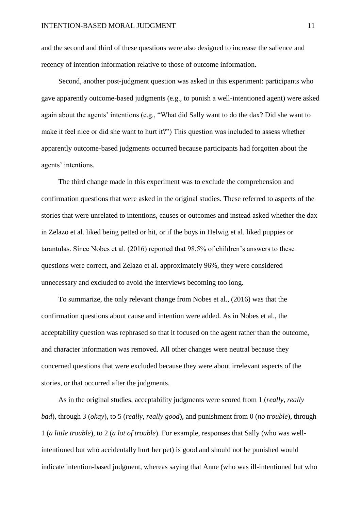and the second and third of these questions were also designed to increase the salience and recency of intention information relative to those of outcome information.

Second, another post-judgment question was asked in this experiment: participants who gave apparently outcome-based judgments (e.g., to punish a well-intentioned agent) were asked again about the agents' intentions (e.g., "What did Sally want to do the dax? Did she want to make it feel nice or did she want to hurt it?") This question was included to assess whether apparently outcome-based judgments occurred because participants had forgotten about the agents' intentions.

The third change made in this experiment was to exclude the comprehension and confirmation questions that were asked in the original studies. These referred to aspects of the stories that were unrelated to intentions, causes or outcomes and instead asked whether the dax in Zelazo et al. liked being petted or hit, or if the boys in Helwig et al. liked puppies or tarantulas. Since Nobes et al. (2016) reported that 98.5% of children's answers to these questions were correct, and Zelazo et al. approximately 96%, they were considered unnecessary and excluded to avoid the interviews becoming too long.

To summarize, the only relevant change from Nobes et al., (2016) was that the confirmation questions about cause and intention were added. As in Nobes et al., the acceptability question was rephrased so that it focused on the agent rather than the outcome, and character information was removed. All other changes were neutral because they concerned questions that were excluded because they were about irrelevant aspects of the stories, or that occurred after the judgments.

As in the original studies, acceptability judgments were scored from 1 (*really, really bad*), through 3 (*okay*), to 5 (*really, really good*), and punishment from 0 (*no trouble*), through 1 (*a little trouble*), to 2 (*a lot of trouble*). For example, responses that Sally (who was wellintentioned but who accidentally hurt her pet) is good and should not be punished would indicate intention-based judgment, whereas saying that Anne (who was ill-intentioned but who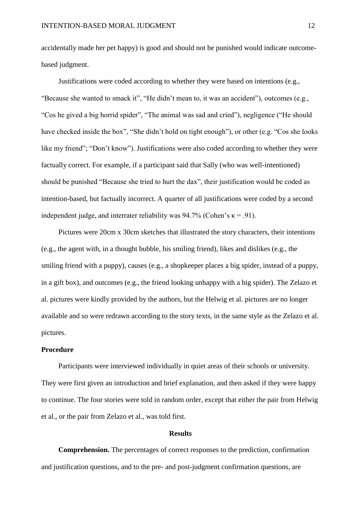accidentally made her pet happy) is good and should not be punished would indicate outcomebased judgment.

Justifications were coded according to whether they were based on intentions (e.g., "Because she wanted to smack it", "He didn't mean to, it was an accident"), outcomes (e.g., "Cos he gived a big horrid spider", "The animal was sad and cried"), negligence ("He should have checked inside the box", "She didn't hold on tight enough"), or other (e.g. "Cos she looks like my friend"; "Don't know"). Justifications were also coded according to whether they were factually correct. For example, if a participant said that Sally (who was well-intentioned) should be punished "Because she tried to hurt the dax", their justification would be coded as intention-based, but factually incorrect. A quarter of all justifications were coded by a second independent judge, and interrater reliability was  $94.7\%$  (Cohen's  $\kappa = .91$ ).

Pictures were 20cm x 30cm sketches that illustrated the story characters, their intentions (e.g., the agent with, in a thought bubble, his smiling friend), likes and dislikes (e.g., the smiling friend with a puppy), causes (e.g., a shopkeeper places a big spider, instead of a puppy, in a gift box), and outcomes (e.g., the friend looking unhappy with a big spider). The Zelazo et al. pictures were kindly provided by the authors, but the Helwig et al. pictures are no longer available and so were redrawn according to the story texts, in the same style as the Zelazo et al. pictures.

### **Procedure**

Participants were interviewed individually in quiet areas of their schools or university. They were first given an introduction and brief explanation, and then asked if they were happy to continue. The four stories were told in random order, except that either the pair from Helwig et al., or the pair from Zelazo et al., was told first.

#### **Results**

**Comprehension.** The percentages of correct responses to the prediction, confirmation and justification questions, and to the pre- and post-judgment confirmation questions, are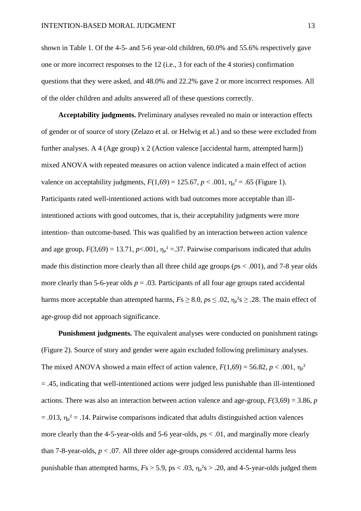shown in Table 1. Of the 4-5- and 5-6 year-old children, 60.0% and 55.6% respectively gave one or more incorrect responses to the 12 (i.e., 3 for each of the 4 stories) confirmation questions that they were asked, and 48.0% and 22.2% gave 2 or more incorrect responses. All of the older children and adults answered all of these questions correctly.

**Acceptability judgments.** Preliminary analyses revealed no main or interaction effects of gender or of source of story (Zelazo et al. or Helwig et al.) and so these were excluded from further analyses. A 4 (Age group) x 2 (Action valence [accidental harm, attempted harm]) mixed ANOVA with repeated measures on action valence indicated a main effect of action valence on acceptability judgments,  $F(1,69) = 125.67, p < .001, \eta_{p}^{2} = .65$  (Figure 1). Participants rated well-intentioned actions with bad outcomes more acceptable than illintentioned actions with good outcomes, that is, their acceptability judgments were more intention- than outcome-based. This was qualified by an interaction between action valence and age group,  $F(3,69) = 13.71$ ,  $p < .001$ ,  $\eta_p^2 = .37$ . Pairwise comparisons indicated that adults made this distinction more clearly than all three child age groups (*p*s < .001), and 7-8 year olds more clearly than 5-6-year olds  $p = 0.03$ . Participants of all four age groups rated accidental harms more acceptable than attempted harms,  $Fs \geq 8.0$ ,  $ps \leq .02$ ,  $\eta_p^2 s \geq .28$ . The main effect of age-group did not approach significance.

**Punishment judgments.** The equivalent analyses were conducted on punishment ratings (Figure 2). Source of story and gender were again excluded following preliminary analyses. The mixed ANOVA showed a main effect of action valence,  $F(1,69) = 56.82$ ,  $p < .001$ ,  $\eta_p^2$ = .45, indicating that well-intentioned actions were judged less punishable than ill-intentioned actions. There was also an interaction between action valence and age-group, *F*(3,69) = 3.86, *p*  $= .013$ ,  $\eta_{p}^2 = .14$ . Pairwise comparisons indicated that adults distinguished action valences more clearly than the 4-5-year-olds and 5-6 year-olds, *p*s < .01, and marginally more clearly than 7-8-year-olds,  $p < 0.07$ . All three older age-groups considered accidental harms less punishable than attempted harms,  $Fs > 5.9$ , ps  $< .03$ ,  $\eta_p^2 s > .20$ , and 4-5-year-olds judged them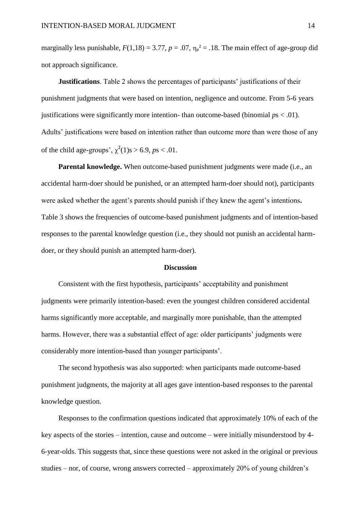marginally less punishable,  $F(1,18) = 3.77$ ,  $p = .07$ ,  $\eta_p^2 = .18$ . The main effect of age-group did not approach significance.

**Justifications**. Table 2 shows the percentages of participants' justifications of their punishment judgments that were based on intention, negligence and outcome. From 5-6 years justifications were significantly more intention- than outcome-based (binomial *p*s < .01). Adults' justifications were based on intention rather than outcome more than were those of any of the child age-groups',  $\chi^2(1)$ s > 6.9, *ps* < .01.

**Parental knowledge.** When outcome-based punishment judgments were made (i.e., an accidental harm-doer should be punished, or an attempted harm-doer should not), participants were asked whether the agent's parents should punish if they knew the agent's intentions**.** Table 3 shows the frequencies of outcome-based punishment judgments and of intention-based responses to the parental knowledge question (i.e., they should not punish an accidental harmdoer, or they should punish an attempted harm-doer).

### **Discussion**

Consistent with the first hypothesis, participants' acceptability and punishment judgments were primarily intention-based: even the youngest children considered accidental harms significantly more acceptable, and marginally more punishable, than the attempted harms. However, there was a substantial effect of age: older participants' judgments were considerably more intention-based than younger participants'.

The second hypothesis was also supported: when participants made outcome-based punishment judgments, the majority at all ages gave intention-based responses to the parental knowledge question.

Responses to the confirmation questions indicated that approximately 10% of each of the key aspects of the stories – intention, cause and outcome – were initially misunderstood by 4- 6-year-olds. This suggests that, since these questions were not asked in the original or previous studies – nor, of course, wrong answers corrected – approximately 20% of young children's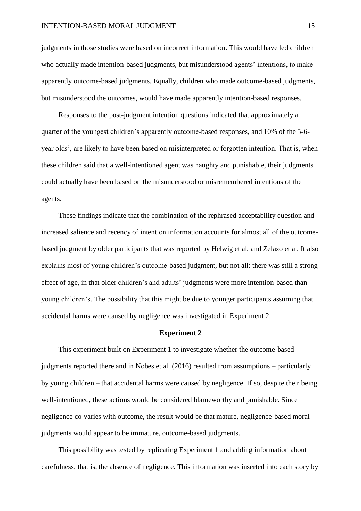judgments in those studies were based on incorrect information. This would have led children who actually made intention-based judgments, but misunderstood agents' intentions, to make apparently outcome-based judgments. Equally, children who made outcome-based judgments, but misunderstood the outcomes, would have made apparently intention-based responses.

Responses to the post-judgment intention questions indicated that approximately a quarter of the youngest children's apparently outcome-based responses, and 10% of the 5-6 year olds', are likely to have been based on misinterpreted or forgotten intention. That is, when these children said that a well-intentioned agent was naughty and punishable, their judgments could actually have been based on the misunderstood or misremembered intentions of the agents.

These findings indicate that the combination of the rephrased acceptability question and increased salience and recency of intention information accounts for almost all of the outcomebased judgment by older participants that was reported by Helwig et al. and Zelazo et al. It also explains most of young children's outcome-based judgment, but not all: there was still a strong effect of age, in that older children's and adults' judgments were more intention-based than young children's. The possibility that this might be due to younger participants assuming that accidental harms were caused by negligence was investigated in Experiment 2.

### **Experiment 2**

This experiment built on Experiment 1 to investigate whether the outcome-based judgments reported there and in Nobes et al. (2016) resulted from assumptions – particularly by young children – that accidental harms were caused by negligence. If so, despite their being well-intentioned, these actions would be considered blameworthy and punishable. Since negligence co-varies with outcome, the result would be that mature, negligence-based moral judgments would appear to be immature, outcome-based judgments.

This possibility was tested by replicating Experiment 1 and adding information about carefulness, that is, the absence of negligence. This information was inserted into each story by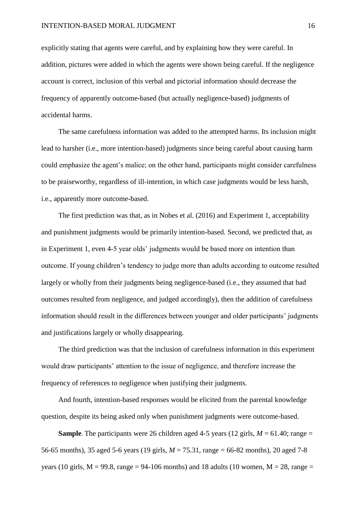explicitly stating that agents were careful, and by explaining how they were careful. In addition, pictures were added in which the agents were shown being careful. If the negligence account is correct, inclusion of this verbal and pictorial information should decrease the frequency of apparently outcome-based (but actually negligence-based) judgments of accidental harms.

The same carefulness information was added to the attempted harms. Its inclusion might lead to harsher (i.e., more intention-based) judgments since being careful about causing harm could emphasize the agent's malice; on the other hand, participants might consider carefulness to be praiseworthy, regardless of ill-intention, in which case judgments would be less harsh, i.e., apparently more outcome-based.

The first prediction was that, as in Nobes et al. (2016) and Experiment 1, acceptability and punishment judgments would be primarily intention-based. Second, we predicted that, as in Experiment 1, even 4-5 year olds' judgments would be based more on intention than outcome. If young children's tendency to judge more than adults according to outcome resulted largely or wholly from their judgments being negligence-based (i.e., they assumed that bad outcomes resulted from negligence, and judged accordingly), then the addition of carefulness information should result in the differences between younger and older participants' judgments and justifications largely or wholly disappearing.

The third prediction was that the inclusion of carefulness information in this experiment would draw participants' attention to the issue of negligence, and therefore increase the frequency of references to negligence when justifying their judgments.

And fourth, intention-based responses would be elicited from the parental knowledge question, despite its being asked only when punishment judgments were outcome-based.

**Sample**. The participants were 26 children aged 4-5 years (12 girls,  $M = 61.40$ ; range = 56-65 months), 35 aged 5-6 years (19 girls, *M* = 75.31, range = 66-82 months), 20 aged 7-8 years (10 girls,  $M = 99.8$ , range = 94-106 months) and 18 adults (10 women,  $M = 28$ , range =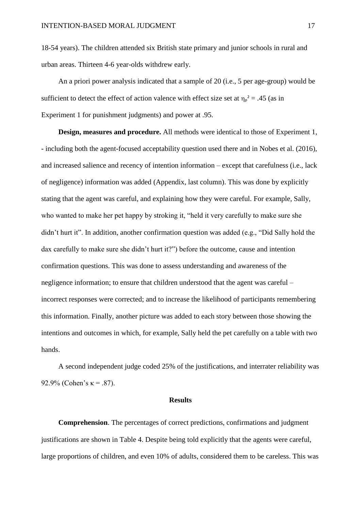18-54 years). The children attended six British state primary and junior schools in rural and urban areas. Thirteen 4-6 year-olds withdrew early.

An a priori power analysis indicated that a sample of 20 (i.e., 5 per age-group) would be sufficient to detect the effect of action valence with effect size set at  $\eta_p^2 = .45$  (as in Experiment 1 for punishment judgments) and power at .95.

**Design, measures and procedure.** All methods were identical to those of Experiment 1, - including both the agent-focused acceptability question used there and in Nobes et al. (2016), and increased salience and recency of intention information – except that carefulness (i.e., lack of negligence) information was added (Appendix, last column). This was done by explicitly stating that the agent was careful, and explaining how they were careful. For example, Sally, who wanted to make her pet happy by stroking it, "held it very carefully to make sure she didn't hurt it". In addition, another confirmation question was added (e.g., "Did Sally hold the dax carefully to make sure she didn't hurt it?") before the outcome, cause and intention confirmation questions. This was done to assess understanding and awareness of the negligence information; to ensure that children understood that the agent was careful – incorrect responses were corrected; and to increase the likelihood of participants remembering this information. Finally, another picture was added to each story between those showing the intentions and outcomes in which, for example, Sally held the pet carefully on a table with two hands.

A second independent judge coded 25% of the justifications, and interrater reliability was 92.9% (Cohen's  $\kappa = .87$ ).

#### **Results**

**Comprehension**. The percentages of correct predictions, confirmations and judgment justifications are shown in Table 4. Despite being told explicitly that the agents were careful, large proportions of children, and even 10% of adults, considered them to be careless. This was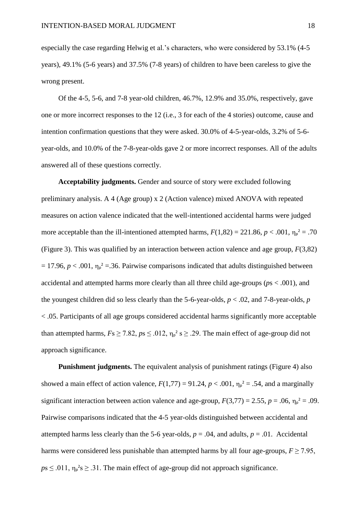especially the case regarding Helwig et al.'s characters, who were considered by 53.1% (4-5 years), 49.1% (5-6 years) and 37.5% (7-8 years) of children to have been careless to give the wrong present.

Of the 4-5, 5-6, and 7-8 year-old children, 46.7%, 12.9% and 35.0%, respectively, gave one or more incorrect responses to the 12 (i.e., 3 for each of the 4 stories) outcome, cause and intention confirmation questions that they were asked. 30.0% of 4-5-year-olds, 3.2% of 5-6 year-olds, and 10.0% of the 7-8-year-olds gave 2 or more incorrect responses. All of the adults answered all of these questions correctly.

**Acceptability judgments.** Gender and source of story were excluded following preliminary analysis. A 4 (Age group) x 2 (Action valence) mixed ANOVA with repeated measures on action valence indicated that the well-intentioned accidental harms were judged more acceptable than the ill-intentioned attempted harms,  $F(1,82) = 221.86$ ,  $p < .001$ ,  $\eta_p^2 = .70$ (Figure 3). This was qualified by an interaction between action valence and age group, *F*(3,82)  $= 17.96, p < .001, \eta_{p}^2 = .36$ . Pairwise comparisons indicated that adults distinguished between accidental and attempted harms more clearly than all three child age-groups (*p*s < .001), and the youngest children did so less clearly than the 5-6-year-olds, *p* < .02, and 7-8-year-olds, *p* < .05. Participants of all age groups considered accidental harms significantly more acceptable than attempted harms,  $Fs \geq 7.82$ ,  $ps \leq .012$ ,  $\eta_p^2 s \geq .29$ . The main effect of age-group did not approach significance.

**Punishment judgments.** The equivalent analysis of punishment ratings (Figure 4) also showed a main effect of action valence,  $F(1,77) = 91.24$ ,  $p < .001$ ,  $\eta_p^2 = .54$ , and a marginally significant interaction between action valence and age-group,  $F(3,77) = 2.55$ ,  $p = .06$ ,  $\eta_p^2 = .09$ . Pairwise comparisons indicated that the 4-5 year-olds distinguished between accidental and attempted harms less clearly than the 5-6 year-olds,  $p = .04$ , and adults,  $p = .01$ . Accidental harms were considered less punishable than attempted harms by all four age-groups,  $F \ge 7.95$ ,  $p s \le 0.011$ ,  $\eta_p^2 s \ge 0.31$ . The main effect of age-group did not approach significance.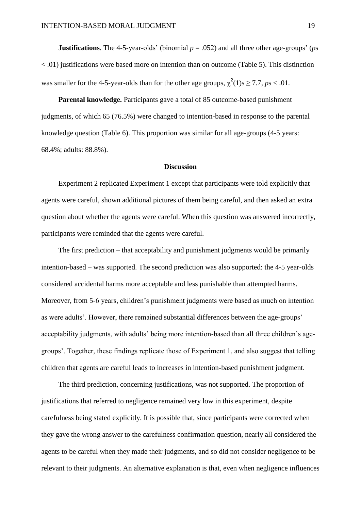**Justifications**. The 4-5-year-olds' (binomial  $p = .052$ ) and all three other age-groups' (*ps*)  $\langle 0.01 \rangle$  justifications were based more on intention than on outcome (Table 5). This distinction was smaller for the 4-5-year-olds than for the other age groups,  $\chi^2(1)$ s  $\geq$  7.7, *ps* < .01.

**Parental knowledge.** Participants gave a total of 85 outcome-based punishment judgments, of which 65 (76.5%) were changed to intention-based in response to the parental knowledge question (Table 6). This proportion was similar for all age-groups (4-5 years: 68.4%; adults: 88.8%).

#### **Discussion**

Experiment 2 replicated Experiment 1 except that participants were told explicitly that agents were careful, shown additional pictures of them being careful, and then asked an extra question about whether the agents were careful. When this question was answered incorrectly, participants were reminded that the agents were careful.

The first prediction – that acceptability and punishment judgments would be primarily intention-based – was supported. The second prediction was also supported: the 4-5 year-olds considered accidental harms more acceptable and less punishable than attempted harms. Moreover, from 5-6 years, children's punishment judgments were based as much on intention as were adults'. However, there remained substantial differences between the age-groups' acceptability judgments, with adults' being more intention-based than all three children's agegroups'. Together, these findings replicate those of Experiment 1, and also suggest that telling children that agents are careful leads to increases in intention-based punishment judgment.

The third prediction, concerning justifications, was not supported. The proportion of justifications that referred to negligence remained very low in this experiment, despite carefulness being stated explicitly. It is possible that, since participants were corrected when they gave the wrong answer to the carefulness confirmation question, nearly all considered the agents to be careful when they made their judgments, and so did not consider negligence to be relevant to their judgments. An alternative explanation is that, even when negligence influences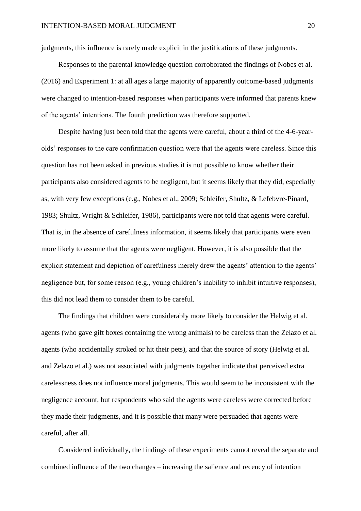judgments, this influence is rarely made explicit in the justifications of these judgments.

Responses to the parental knowledge question corroborated the findings of Nobes et al. (2016) and Experiment 1: at all ages a large majority of apparently outcome-based judgments were changed to intention-based responses when participants were informed that parents knew of the agents' intentions. The fourth prediction was therefore supported.

Despite having just been told that the agents were careful, about a third of the 4-6-yearolds' responses to the care confirmation question were that the agents were careless. Since this question has not been asked in previous studies it is not possible to know whether their participants also considered agents to be negligent, but it seems likely that they did, especially as, with very few exceptions (e.g., Nobes et al., 2009; Schleifer, Shultz, & Lefebvre-Pinard, 1983; Shultz, Wright & Schleifer, 1986), participants were not told that agents were careful. That is, in the absence of carefulness information, it seems likely that participants were even more likely to assume that the agents were negligent. However, it is also possible that the explicit statement and depiction of carefulness merely drew the agents' attention to the agents' negligence but, for some reason (e.g., young children's inability to inhibit intuitive responses), this did not lead them to consider them to be careful.

The findings that children were considerably more likely to consider the Helwig et al. agents (who gave gift boxes containing the wrong animals) to be careless than the Zelazo et al. agents (who accidentally stroked or hit their pets), and that the source of story (Helwig et al. and Zelazo et al.) was not associated with judgments together indicate that perceived extra carelessness does not influence moral judgments. This would seem to be inconsistent with the negligence account, but respondents who said the agents were careless were corrected before they made their judgments, and it is possible that many were persuaded that agents were careful, after all.

Considered individually, the findings of these experiments cannot reveal the separate and combined influence of the two changes – increasing the salience and recency of intention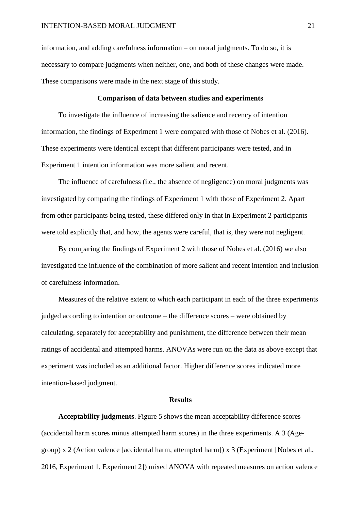information, and adding carefulness information – on moral judgments. To do so, it is necessary to compare judgments when neither, one, and both of these changes were made. These comparisons were made in the next stage of this study.

### **Comparison of data between studies and experiments**

To investigate the influence of increasing the salience and recency of intention information, the findings of Experiment 1 were compared with those of Nobes et al. (2016). These experiments were identical except that different participants were tested, and in Experiment 1 intention information was more salient and recent.

The influence of carefulness (i.e., the absence of negligence) on moral judgments was investigated by comparing the findings of Experiment 1 with those of Experiment 2. Apart from other participants being tested, these differed only in that in Experiment 2 participants were told explicitly that, and how, the agents were careful, that is, they were not negligent.

By comparing the findings of Experiment 2 with those of Nobes et al. (2016) we also investigated the influence of the combination of more salient and recent intention and inclusion of carefulness information.

Measures of the relative extent to which each participant in each of the three experiments judged according to intention or outcome – the difference scores – were obtained by calculating, separately for acceptability and punishment, the difference between their mean ratings of accidental and attempted harms. ANOVAs were run on the data as above except that experiment was included as an additional factor. Higher difference scores indicated more intention-based judgment.

### **Results**

**Acceptability judgments**. Figure 5 shows the mean acceptability difference scores (accidental harm scores minus attempted harm scores) in the three experiments. A 3 (Agegroup) x 2 (Action valence [accidental harm, attempted harm]) x 3 (Experiment [Nobes et al., 2016, Experiment 1, Experiment 2]) mixed ANOVA with repeated measures on action valence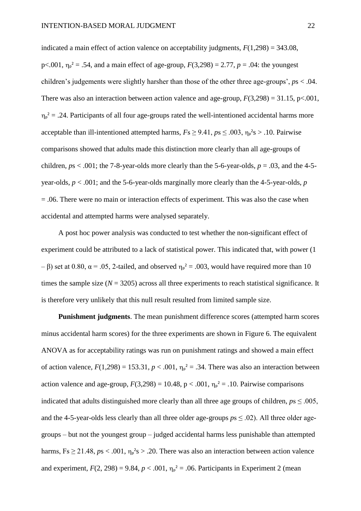indicated a main effect of action valence on acceptability judgments,  $F(1,298) = 343.08$ , p<.001,  $\eta_p^2 = .54$ , and a main effect of age-group,  $F(3,298) = 2.77$ ,  $p = .04$ : the youngest children's judgements were slightly harsher than those of the other three age-groups', *p*s < .04. There was also an interaction between action valence and age-group,  $F(3,298) = 31.15$ , p<.001,  $\eta_p^2 = .24$ . Participants of all four age-groups rated the well-intentioned accidental harms more acceptable than ill-intentioned attempted harms,  $Fs \ge 9.41$ ,  $ps \le .003$ ,  $\eta_p^2 s > .10$ . Pairwise comparisons showed that adults made this distinction more clearly than all age-groups of children,  $ps < .001$ ; the 7-8-year-olds more clearly than the 5-6-year-olds,  $p = .03$ , and the 4-5year-olds, *p* < .001; and the 5-6-year-olds marginally more clearly than the 4-5-year-olds, *p* = .06. There were no main or interaction effects of experiment. This was also the case when accidental and attempted harms were analysed separately.

A post hoc power analysis was conducted to test whether the non-significant effect of experiment could be attributed to a lack of statistical power. This indicated that, with power (1 – β) set at 0.80,  $\alpha$  = .05, 2-tailed, and observed  $\eta_{p}^2$  = .003, would have required more than 10 times the sample size  $(N = 3205)$  across all three experiments to reach statistical significance. It is therefore very unlikely that this null result resulted from limited sample size.

**Punishment judgments**. The mean punishment difference scores (attempted harm scores minus accidental harm scores) for the three experiments are shown in Figure 6. The equivalent ANOVA as for acceptability ratings was run on punishment ratings and showed a main effect of action valence,  $F(1,298) = 153.31$ ,  $p < .001$ ,  $\eta_p^2 = .34$ . There was also an interaction between action valence and age-group,  $F(3,298) = 10.48$ ,  $p < .001$ ,  $\eta_p^2 = .10$ . Pairwise comparisons indicated that adults distinguished more clearly than all three age groups of children,  $p_s \le 0.005$ , and the 4-5-year-olds less clearly than all three older age-groups  $p s \leq .02$ ). All three older agegroups – but not the youngest group – judged accidental harms less punishable than attempted harms,  $Fs \ge 21.48$ ,  $ps < .001$ ,  $\eta_p^2s > .20$ . There was also an interaction between action valence and experiment,  $F(2, 298) = 9.84$ ,  $p < .001$ ,  $\eta_p^2 = .06$ . Participants in Experiment 2 (mean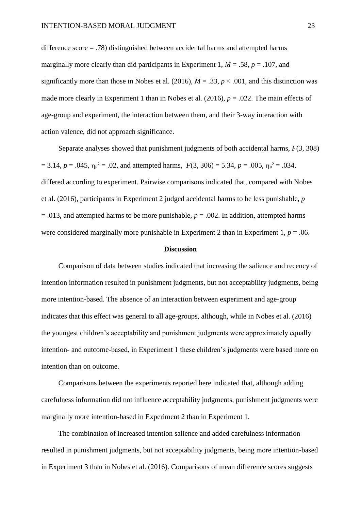difference score = .78) distinguished between accidental harms and attempted harms marginally more clearly than did participants in Experiment 1,  $M = .58$ ,  $p = .107$ , and significantly more than those in Nobes et al. (2016),  $M = .33$ ,  $p < .001$ , and this distinction was made more clearly in Experiment 1 than in Nobes et al. (2016),  $p = .022$ . The main effects of age-group and experiment, the interaction between them, and their 3-way interaction with action valence, did not approach significance.

Separate analyses showed that punishment judgments of both accidental harms, *F*(3, 308)  $= 3.14, p = .045, \eta_p^2 = .02$ , and attempted harms,  $F(3, 306) = 5.34, p = .005, \eta_p^2 = .034$ , differed according to experiment. Pairwise comparisons indicated that, compared with Nobes et al. (2016), participants in Experiment 2 judged accidental harms to be less punishable, *p*  $= .013$ , and attempted harms to be more punishable,  $p = .002$ . In addition, attempted harms were considered marginally more punishable in Experiment 2 than in Experiment 1,  $p = .06$ .

### **Discussion**

Comparison of data between studies indicated that increasing the salience and recency of intention information resulted in punishment judgments, but not acceptability judgments, being more intention-based. The absence of an interaction between experiment and age-group indicates that this effect was general to all age-groups, although, while in Nobes et al. (2016) the youngest children's acceptability and punishment judgments were approximately equally intention- and outcome-based, in Experiment 1 these children's judgments were based more on intention than on outcome.

Comparisons between the experiments reported here indicated that, although adding carefulness information did not influence acceptability judgments, punishment judgments were marginally more intention-based in Experiment 2 than in Experiment 1.

The combination of increased intention salience and added carefulness information resulted in punishment judgments, but not acceptability judgments, being more intention-based in Experiment 3 than in Nobes et al. (2016). Comparisons of mean difference scores suggests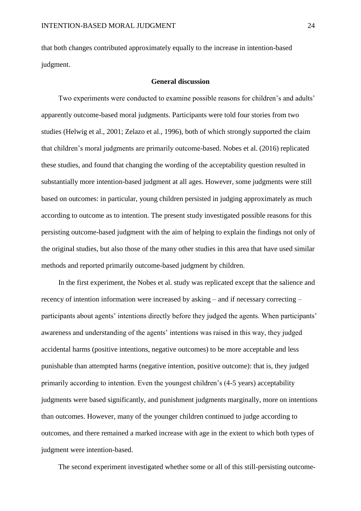that both changes contributed approximately equally to the increase in intention-based judgment.

### **General discussion**

Two experiments were conducted to examine possible reasons for children's and adults' apparently outcome-based moral judgments. Participants were told four stories from two studies (Helwig et al., 2001; Zelazo et al., 1996), both of which strongly supported the claim that children's moral judgments are primarily outcome-based. Nobes et al. (2016) replicated these studies, and found that changing the wording of the acceptability question resulted in substantially more intention-based judgment at all ages. However, some judgments were still based on outcomes: in particular, young children persisted in judging approximately as much according to outcome as to intention. The present study investigated possible reasons for this persisting outcome-based judgment with the aim of helping to explain the findings not only of the original studies, but also those of the many other studies in this area that have used similar methods and reported primarily outcome-based judgment by children.

In the first experiment, the Nobes et al. study was replicated except that the salience and recency of intention information were increased by asking – and if necessary correcting – participants about agents' intentions directly before they judged the agents. When participants' awareness and understanding of the agents' intentions was raised in this way, they judged accidental harms (positive intentions, negative outcomes) to be more acceptable and less punishable than attempted harms (negative intention, positive outcome): that is, they judged primarily according to intention. Even the youngest children's (4-5 years) acceptability judgments were based significantly, and punishment judgments marginally, more on intentions than outcomes. However, many of the younger children continued to judge according to outcomes, and there remained a marked increase with age in the extent to which both types of judgment were intention-based.

The second experiment investigated whether some or all of this still-persisting outcome-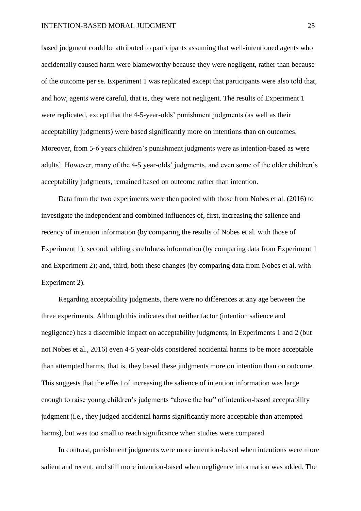based judgment could be attributed to participants assuming that well-intentioned agents who accidentally caused harm were blameworthy because they were negligent, rather than because of the outcome per se. Experiment 1 was replicated except that participants were also told that, and how, agents were careful, that is, they were not negligent. The results of Experiment 1 were replicated, except that the 4-5-year-olds' punishment judgments (as well as their acceptability judgments) were based significantly more on intentions than on outcomes. Moreover, from 5-6 years children's punishment judgments were as intention-based as were adults'. However, many of the 4-5 year-olds' judgments, and even some of the older children's acceptability judgments, remained based on outcome rather than intention.

Data from the two experiments were then pooled with those from Nobes et al. (2016) to investigate the independent and combined influences of, first, increasing the salience and recency of intention information (by comparing the results of Nobes et al. with those of Experiment 1); second, adding carefulness information (by comparing data from Experiment 1 and Experiment 2); and, third, both these changes (by comparing data from Nobes et al. with Experiment 2).

Regarding acceptability judgments, there were no differences at any age between the three experiments. Although this indicates that neither factor (intention salience and negligence) has a discernible impact on acceptability judgments, in Experiments 1 and 2 (but not Nobes et al., 2016) even 4-5 year-olds considered accidental harms to be more acceptable than attempted harms, that is, they based these judgments more on intention than on outcome. This suggests that the effect of increasing the salience of intention information was large enough to raise young children's judgments "above the bar" of intention-based acceptability judgment (i.e., they judged accidental harms significantly more acceptable than attempted harms), but was too small to reach significance when studies were compared.

In contrast, punishment judgments were more intention-based when intentions were more salient and recent, and still more intention-based when negligence information was added. The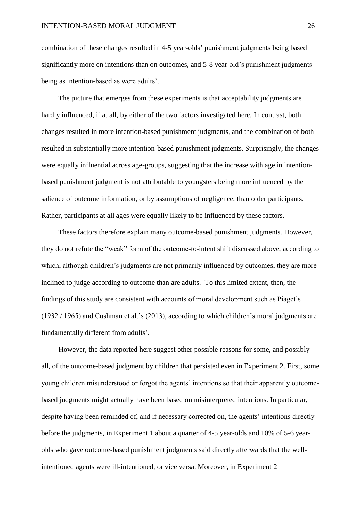combination of these changes resulted in 4-5 year-olds' punishment judgments being based significantly more on intentions than on outcomes, and 5-8 year-old's punishment judgments being as intention-based as were adults'.

The picture that emerges from these experiments is that acceptability judgments are hardly influenced, if at all, by either of the two factors investigated here. In contrast, both changes resulted in more intention-based punishment judgments, and the combination of both resulted in substantially more intention-based punishment judgments. Surprisingly, the changes were equally influential across age-groups, suggesting that the increase with age in intentionbased punishment judgment is not attributable to youngsters being more influenced by the salience of outcome information, or by assumptions of negligence, than older participants. Rather, participants at all ages were equally likely to be influenced by these factors.

These factors therefore explain many outcome-based punishment judgments. However, they do not refute the "weak" form of the outcome-to-intent shift discussed above, according to which, although children's judgments are not primarily influenced by outcomes, they are more inclined to judge according to outcome than are adults. To this limited extent, then, the findings of this study are consistent with accounts of moral development such as Piaget's (1932 / 1965) and Cushman et al.'s (2013), according to which children's moral judgments are fundamentally different from adults'.

However, the data reported here suggest other possible reasons for some, and possibly all, of the outcome-based judgment by children that persisted even in Experiment 2. First, some young children misunderstood or forgot the agents' intentions so that their apparently outcomebased judgments might actually have been based on misinterpreted intentions. In particular, despite having been reminded of, and if necessary corrected on, the agents' intentions directly before the judgments, in Experiment 1 about a quarter of 4-5 year-olds and 10% of 5-6 yearolds who gave outcome-based punishment judgments said directly afterwards that the wellintentioned agents were ill-intentioned, or vice versa. Moreover, in Experiment 2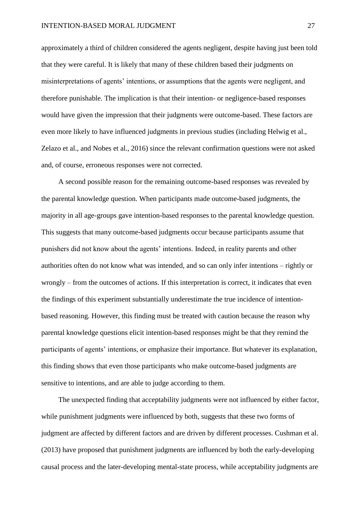approximately a third of children considered the agents negligent, despite having just been told that they were careful. It is likely that many of these children based their judgments on misinterpretations of agents' intentions, or assumptions that the agents were negligent, and therefore punishable. The implication is that their intention- or negligence-based responses would have given the impression that their judgments were outcome-based. These factors are even more likely to have influenced judgments in previous studies (including Helwig et al., Zelazo et al., and Nobes et al., 2016) since the relevant confirmation questions were not asked and, of course, erroneous responses were not corrected.

A second possible reason for the remaining outcome-based responses was revealed by the parental knowledge question. When participants made outcome-based judgments, the majority in all age-groups gave intention-based responses to the parental knowledge question. This suggests that many outcome-based judgments occur because participants assume that punishers did not know about the agents' intentions. Indeed, in reality parents and other authorities often do not know what was intended, and so can only infer intentions – rightly or wrongly – from the outcomes of actions. If this interpretation is correct, it indicates that even the findings of this experiment substantially underestimate the true incidence of intentionbased reasoning. However, this finding must be treated with caution because the reason why parental knowledge questions elicit intention-based responses might be that they remind the participants of agents' intentions, or emphasize their importance. But whatever its explanation, this finding shows that even those participants who make outcome-based judgments are sensitive to intentions, and are able to judge according to them.

The unexpected finding that acceptability judgments were not influenced by either factor, while punishment judgments were influenced by both, suggests that these two forms of judgment are affected by different factors and are driven by different processes. Cushman et al. (2013) have proposed that punishment judgments are influenced by both the early-developing causal process and the later-developing mental-state process, while acceptability judgments are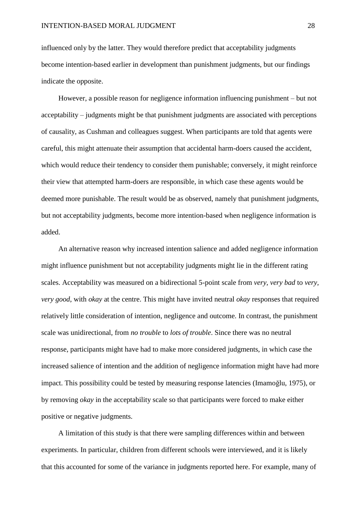influenced only by the latter. They would therefore predict that acceptability judgments become intention-based earlier in development than punishment judgments, but our findings indicate the opposite.

However, a possible reason for negligence information influencing punishment – but not acceptability – judgments might be that punishment judgments are associated with perceptions of causality, as Cushman and colleagues suggest. When participants are told that agents were careful, this might attenuate their assumption that accidental harm-doers caused the accident, which would reduce their tendency to consider them punishable; conversely, it might reinforce their view that attempted harm-doers are responsible, in which case these agents would be deemed more punishable. The result would be as observed, namely that punishment judgments, but not acceptability judgments, become more intention-based when negligence information is added.

An alternative reason why increased intention salience and added negligence information might influence punishment but not acceptability judgments might lie in the different rating scales. Acceptability was measured on a bidirectional 5-point scale from *very, very bad* to *very, very good*, with *okay* at the centre. This might have invited neutral *okay* responses that required relatively little consideration of intention, negligence and outcome. In contrast, the punishment scale was unidirectional, from *no trouble* to *lots of trouble*. Since there was no neutral response, participants might have had to make more considered judgments, in which case the increased salience of intention and the addition of negligence information might have had more impact. This possibility could be tested by measuring response latencies (Imamoğlu, 1975), or by removing *okay* in the acceptability scale so that participants were forced to make either positive or negative judgments.

A limitation of this study is that there were sampling differences within and between experiments. In particular, children from different schools were interviewed, and it is likely that this accounted for some of the variance in judgments reported here. For example, many of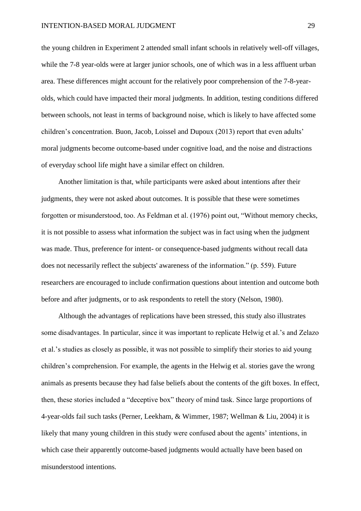the young children in Experiment 2 attended small infant schools in relatively well-off villages, while the 7-8 year-olds were at larger junior schools, one of which was in a less affluent urban area. These differences might account for the relatively poor comprehension of the 7-8-yearolds, which could have impacted their moral judgments. In addition, testing conditions differed between schools, not least in terms of background noise, which is likely to have affected some children's concentration. Buon, Jacob, Loissel and Dupoux (2013) report that even adults' moral judgments become outcome-based under cognitive load, and the noise and distractions of everyday school life might have a similar effect on children.

Another limitation is that, while participants were asked about intentions after their judgments, they were not asked about outcomes. It is possible that these were sometimes forgotten or misunderstood, too. As Feldman et al. (1976) point out, "Without memory checks, it is not possible to assess what information the subject was in fact using when the judgment was made. Thus, preference for intent- or consequence-based judgments without recall data does not necessarily reflect the subjects' awareness of the information." (p. 559). Future researchers are encouraged to include confirmation questions about intention and outcome both before and after judgments, or to ask respondents to retell the story (Nelson, 1980).

Although the advantages of replications have been stressed, this study also illustrates some disadvantages. In particular, since it was important to replicate Helwig et al.'s and Zelazo et al.'s studies as closely as possible, it was not possible to simplify their stories to aid young children's comprehension. For example, the agents in the Helwig et al. stories gave the wrong animals as presents because they had false beliefs about the contents of the gift boxes. In effect, then, these stories included a "deceptive box" theory of mind task. Since large proportions of 4-year-olds fail such tasks (Perner, Leekham, & Wimmer, 1987; Wellman & Liu, 2004) it is likely that many young children in this study were confused about the agents' intentions, in which case their apparently outcome-based judgments would actually have been based on misunderstood intentions.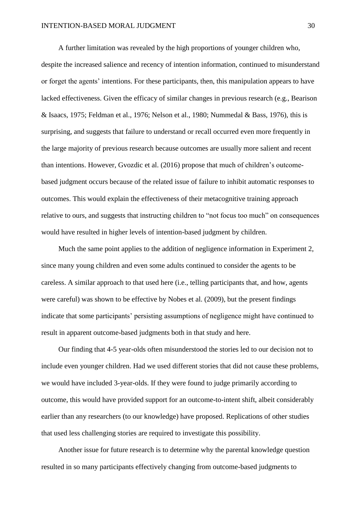A further limitation was revealed by the high proportions of younger children who, despite the increased salience and recency of intention information, continued to misunderstand or forget the agents' intentions. For these participants, then, this manipulation appears to have lacked effectiveness. Given the efficacy of similar changes in previous research (e.g., Bearison & Isaacs, 1975; Feldman et al., 1976; Nelson et al., 1980; Nummedal & Bass, 1976), this is surprising, and suggests that failure to understand or recall occurred even more frequently in the large majority of previous research because outcomes are usually more salient and recent than intentions. However, Gvozdic et al. (2016) propose that much of children's outcomebased judgment occurs because of the related issue of failure to inhibit automatic responses to outcomes. This would explain the effectiveness of their metacognitive training approach relative to ours, and suggests that instructing children to "not focus too much" on consequences would have resulted in higher levels of intention-based judgment by children.

Much the same point applies to the addition of negligence information in Experiment 2, since many young children and even some adults continued to consider the agents to be careless. A similar approach to that used here (i.e., telling participants that, and how, agents were careful) was shown to be effective by Nobes et al. (2009), but the present findings indicate that some participants' persisting assumptions of negligence might have continued to result in apparent outcome-based judgments both in that study and here.

Our finding that 4-5 year-olds often misunderstood the stories led to our decision not to include even younger children. Had we used different stories that did not cause these problems, we would have included 3-year-olds. If they were found to judge primarily according to outcome, this would have provided support for an outcome-to-intent shift, albeit considerably earlier than any researchers (to our knowledge) have proposed. Replications of other studies that used less challenging stories are required to investigate this possibility.

Another issue for future research is to determine why the parental knowledge question resulted in so many participants effectively changing from outcome-based judgments to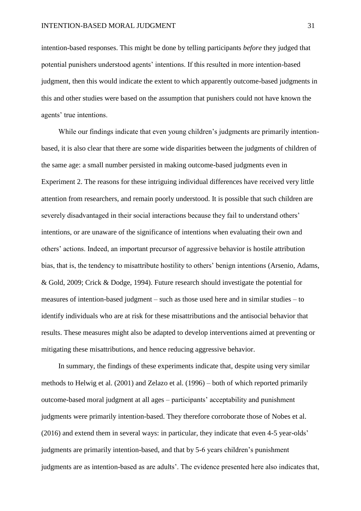intention-based responses. This might be done by telling participants *before* they judged that potential punishers understood agents' intentions. If this resulted in more intention-based judgment, then this would indicate the extent to which apparently outcome-based judgments in this and other studies were based on the assumption that punishers could not have known the agents' true intentions.

While our findings indicate that even young children's judgments are primarily intentionbased, it is also clear that there are some wide disparities between the judgments of children of the same age: a small number persisted in making outcome-based judgments even in Experiment 2. The reasons for these intriguing individual differences have received very little attention from researchers, and remain poorly understood. It is possible that such children are severely disadvantaged in their social interactions because they fail to understand others' intentions, or are unaware of the significance of intentions when evaluating their own and others' actions. Indeed, an important precursor of aggressive behavior is hostile attribution bias, that is, the tendency to misattribute hostility to others' benign intentions (Arsenio, Adams, & Gold, 2009; Crick & Dodge, 1994). Future research should investigate the potential for measures of intention-based judgment – such as those used here and in similar studies – to identify individuals who are at risk for these misattributions and the antisocial behavior that results. These measures might also be adapted to develop interventions aimed at preventing or mitigating these misattributions, and hence reducing aggressive behavior.

In summary, the findings of these experiments indicate that, despite using very similar methods to Helwig et al. (2001) and Zelazo et al. (1996) – both of which reported primarily outcome-based moral judgment at all ages – participants' acceptability and punishment judgments were primarily intention-based. They therefore corroborate those of Nobes et al. (2016) and extend them in several ways: in particular, they indicate that even 4-5 year-olds' judgments are primarily intention-based, and that by 5-6 years children's punishment judgments are as intention-based as are adults'. The evidence presented here also indicates that,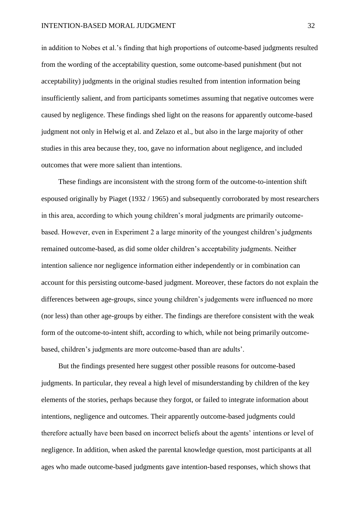in addition to Nobes et al.'s finding that high proportions of outcome-based judgments resulted from the wording of the acceptability question, some outcome-based punishment (but not acceptability) judgments in the original studies resulted from intention information being insufficiently salient, and from participants sometimes assuming that negative outcomes were caused by negligence. These findings shed light on the reasons for apparently outcome-based judgment not only in Helwig et al. and Zelazo et al., but also in the large majority of other studies in this area because they, too, gave no information about negligence, and included outcomes that were more salient than intentions.

These findings are inconsistent with the strong form of the outcome-to-intention shift espoused originally by Piaget (1932 / 1965) and subsequently corroborated by most researchers in this area, according to which young children's moral judgments are primarily outcomebased. However, even in Experiment 2 a large minority of the youngest children's judgments remained outcome-based, as did some older children's acceptability judgments. Neither intention salience nor negligence information either independently or in combination can account for this persisting outcome-based judgment. Moreover, these factors do not explain the differences between age-groups, since young children's judgements were influenced no more (nor less) than other age-groups by either. The findings are therefore consistent with the weak form of the outcome-to-intent shift, according to which, while not being primarily outcomebased, children's judgments are more outcome-based than are adults'.

But the findings presented here suggest other possible reasons for outcome-based judgments. In particular, they reveal a high level of misunderstanding by children of the key elements of the stories, perhaps because they forgot, or failed to integrate information about intentions, negligence and outcomes. Their apparently outcome-based judgments could therefore actually have been based on incorrect beliefs about the agents' intentions or level of negligence. In addition, when asked the parental knowledge question, most participants at all ages who made outcome-based judgments gave intention-based responses, which shows that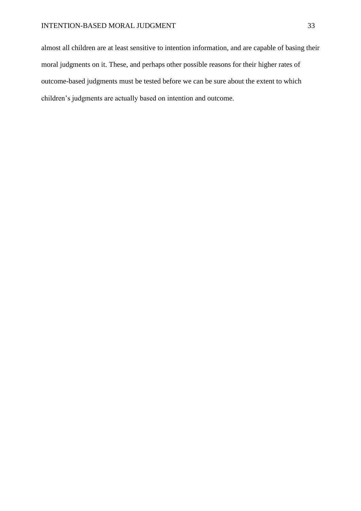almost all children are at least sensitive to intention information, and are capable of basing their moral judgments on it. These, and perhaps other possible reasons for their higher rates of outcome-based judgments must be tested before we can be sure about the extent to which children's judgments are actually based on intention and outcome.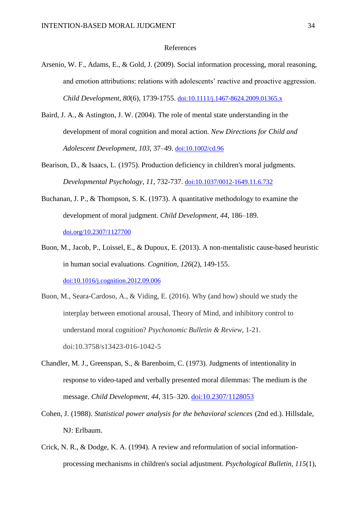#### References

- Arsenio, W. F., Adams, E., & Gold, J. (2009). Social information processing, moral reasoning, and emotion attributions: relations with adolescents' reactive and proactive aggression. *Child Development, 80*(6), 1739-1755. [doi:10.1111/j.1467-8624.2009.01365.x](file://///ueahome/eresssf1/jxt07mcu/data/Documents/RESEARCH/Intention/Superstudy/Superstudy%20paper/xx)
- Baird, J. A., & Astington, J. W. (2004). The role of mental state understanding in the development of moral cognition and moral action. *New Directions for Child and Adolescent Development, 103,* 37–49. [doi:10.1002/cd.96](http://dx.doi.org/10.1002/cd.96)
- Bearison, D., & Isaacs, L. (1975). Production deficiency in children's moral judgments. *Developmental Psychology, 11*, 732-737. [doi:10.1037/0012-1649.11.6.732](http://dx.doi.org/10.1037/0012-1649.11.6.732)
- Buchanan, J. P., & Thompson, S. K. (1973). A quantitative methodology to examine the development of moral judgment. *Child Development, 44,* 186–189. [doi.org/10.2307/1127700](http://dx.doi.org/10.2307/1127700)
- Buon, M., Jacob, P., Loissel, E., & Dupoux, E. (2013). A non-mentalistic cause-based heuristic in human social evaluations. *Cognition*, *126*(2), 149-155. [doi:10.1016/j.cognition.2012.09.006](http://dx.doi.org/10.1016/j.cognition.2012.09.006)
- Buon, M., Seara-Cardoso, A., & Viding, E. (2016). Why (and how) should we study the interplay between emotional arousal, Theory of Mind, and inhibitory control to understand moral cognition? *Psychonomic Bulletin & Review*, 1-21. doi:10.3758/s13423-016-1042-5
- Chandler, M. J., Greenspan, S., & Barenboim, C. (1973). Judgments of intentionality in response to video-taped and verbally presented moral dilemmas: The medium is the message. *Child Development, 44*, 315–320. [doi:10.2307/1128053](http://dx.doi.org/10.2307/1128053)
- Cohen, J. (1988). *Statistical power analysis for the behavioral sciences* (2nd ed.). Hillsdale, NJ: Erlbaum.
- Crick, N. R., & Dodge, K. A. (1994). A review and reformulation of social informationprocessing mechanisms in children's social adjustment. *Psychological Bulletin, 115*(1),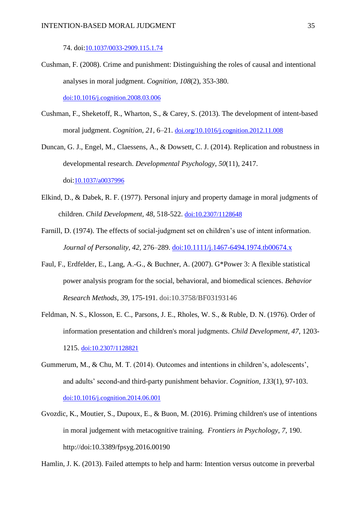74. doi:[10.1037/0033-2909.115.1.74](javascript:__doLinkPostBack()

- Cushman, F. (2008). Crime and punishment: Distinguishing the roles of causal and intentional analyses in moral judgment. *Cognition*, *108*(2), 353-380. [doi:10.1016/j.cognition.2008.03.006](http://dx.doi.org/10.1016/j.cognition.2008.03.006)
- Cushman, F., Sheketoff, R., Wharton, S., & Carey, S. (2013). The development of intent-based moral judgment. *Cognition, 21,* 6–21. [doi.org/10.1016/j.cognition.2012.11.008](http://dx.doi.org/10.1016/j.cognition.2012.11.008)
- Duncan, G. J., Engel, M., Claessens, A., & Dowsett, C. J. (2014). Replication and robustness in developmental research. *Developmental Psychology*, *50*(11), 2417. doi:[10.1037/a0037996](javascript:__doLinkPostBack()
- Elkind, D., & Dabek, R. F. (1977). Personal injury and property damage in moral judgments of children. *Child Development, 48*, 518-522. [doi:10.2307/1128648](http://dx.doi.org/10.2307/1128648)
- Farnill, D. (1974). The effects of social-judgment set on children's use of intent information. *Journal of Personality, 42,* 276–289. [doi:10.1111/j.1467-6494.1974.tb00674.x](http://dx.doi.org/10.1111/j.1467-6494.1974.tb00674.x)
- Faul, F., Erdfelder, E., Lang, A.-G., & Buchner, A. (2007). G\*Power 3: A flexible statistical power analysis program for the social, behavioral, and biomedical sciences. *Behavior Research Methods*, *39*, 175-191. doi:10.3758/BF03193146
- Feldman, N. S., Klosson, E. C., Parsons, J. E., Rholes, W. S., & Ruble, D. N. (1976). Order of information presentation and children's moral judgments. *Child Development, 47*, 1203- 1215. [doi:10.2307/1128821](http://dx.doi.org/10.2307/1128821)
- Gummerum, M., & Chu, M. T. (2014). Outcomes and intentions in children's, adolescents', and adults' second-and third-party punishment behavior. *Cognition*, *133*(1), 97-103. [doi:10.1016/j.cognition.2014.06.001](http://dx.doi.org/10.1016/j.cognition.2014.06.001)
- Gvozdic, K., Moutier, S., Dupoux, E., & Buon, M. (2016). Priming children's use of intentions in moral judgement with metacognitive training. *Frontiers in Psychology, 7,* 190. http://doi:10.3389/fpsyg.2016.00190

Hamlin, J. K. (2013). Failed attempts to help and harm: Intention versus outcome in preverbal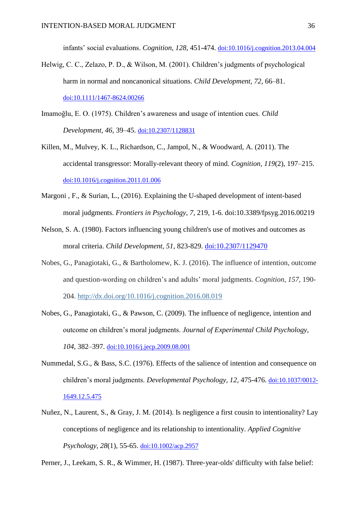infants' social evaluations. *Cognition, 128*, 451-474. [doi:10.1016/j.cognition.2013.04.004](http://dx.doi.org/10.1016/j.cognition.2013.04.004)

- Helwig, C. C., Zelazo, P. D., & Wilson, M. (2001). Children's judgments of psychological harm in normal and noncanonical situations. *Child Development, 72,* 66–81. [doi:10.1111/1467-8624.00266](http://dx.doi.org/10.1111/1467-8624.00266)
- Imamoğlu, E. O. (1975). Children's awareness and usage of intention cues. *Child Development, 46,* 39–45. [doi:10.2307/1128831](http://dx.doi.org/10.2307/1128831)
- Killen, M., Mulvey, K. L., Richardson, C., Jampol, N., & Woodward, A. (2011). The accidental transgressor: Morally-relevant theory of mind. *Cognition, 119*(2), 197–215. [doi:10.1016/j.cognition.2011.01.006](http://dx.doi.org/10.1016/j.cognition.2011.01.006)
- Margoni , F., & Surian, L., (2016). Explaining the U-shaped development of intent-based moral judgments. *Frontiers in Psychology, 7*, 219, 1-6. doi:10.3389/fpsyg.2016.00219
- Nelson, S. A. (1980). Factors influencing young children's use of motives and outcomes as moral criteria. *Child Development, 51*, 823-829. [doi:10.2307/1129470](http://dx.doi.org/10.2307/1129470)
- Nobes, G., Panagiotaki, G., & Bartholomew, K. J. (2016). The influence of intention, outcome and question-wording on children's and adults' moral judgments. *Cognition*, *157*, 190- 204. <http://dx.doi.org/10.1016/j.cognition.2016.08.019>
- Nobes, G., Panagiotaki, G., & Pawson, C. (2009). The influence of negligence, intention and outcome on children's moral judgments. *Journal of Experimental Child Psychology, 104*, 382–397. [doi:10.1016/j.jecp.2009.08.001](http://dx.doi.org/10.1016/j.jecp.2009.08.001)
- Nummedal, S.G., & Bass, S.C. (1976). Effects of the salience of intention and consequence on children's moral judgments. *Developmental Psychology, 12,* 475-476. [doi:10.1037/0012-](http://dx.doi.org/10.1037/0012-1649.12.5.475) [1649.12.5.475](http://dx.doi.org/10.1037/0012-1649.12.5.475)
- Nuñez, N., Laurent, S., & Gray, J. M. (2014). Is negligence a first cousin to intentionality? Lay conceptions of negligence and its relationship to intentionality. *Applied Cognitive Psychology*, *28*(1), 55-65. [doi:10.1002/acp.2957](http://dx.doi.org/10.1002/acp.2957)

Perner, J., Leekam, S. R., & Wimmer, H. (1987). Three-year-olds' difficulty with false belief: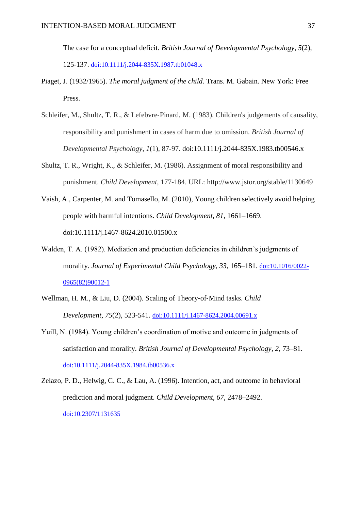The case for a conceptual deficit. *British Journal of Developmental Psychology*, *5*(2), 125-137. [doi:10.1111/j.2044-835X.1987.tb01048.x](http://dx.doi.org/10.1111/j.2044-835X.1987.tb01048.x)

- Piaget, J. (1932/1965). *The moral judgment of the child*. Trans. M. Gabain. New York: Free Press.
- Schleifer, M., Shultz, T. R., & Lefebvre-Pinard, M. (1983). Children's judgements of causality, responsibility and punishment in cases of harm due to omission. *British Journal of Developmental Psychology*, *1*(1), 87-97. doi:10.1111/j.2044-835X.1983.tb00546.x
- Shultz, T. R., Wright, K., & Schleifer, M. (1986). Assignment of moral responsibility and punishment. *Child Development*, 177-184. URL: http://www.jstor.org/stable/1130649
- Vaish, A., Carpenter, M. and Tomasello, M. (2010), Young children selectively avoid helping people with harmful intentions. *Child Development, 81*, 1661–1669. doi:10.1111/j.1467-8624.2010.01500.x
- Walden, T. A. (1982). Mediation and production deficiencies in children's judgments of morality. *Journal of Experimental Child Psychology, 33*, 165–181. [doi:10.1016/0022-](http://dx.doi.org/10.1016/0022-0965(82)90012-1) [0965\(82\)90012-1](http://dx.doi.org/10.1016/0022-0965(82)90012-1)
- Wellman, H. M., & Liu, D. (2004). Scaling of Theory‐of‐Mind tasks. *Child Development*, *75*(2), 523-541. [doi:10.1111/j.1467-8624.2004.00691.x](http://dx.doi.org/10.1111/j.1467-8624.2004.00691.x)
- Yuill, N. (1984). Young children's coordination of motive and outcome in judgments of satisfaction and morality. *British Journal of Developmental Psychology, 2,* 73–81. [doi:10.1111/j.2044-835X.1984.tb00536.x](http://dx.doi.org/10.1111/j.2044-835X.1984.tb00536.x)
- Zelazo, P. D., Helwig, C. C., & Lau, A. (1996). Intention, act, and outcome in behavioral prediction and moral judgment. *Child Development, 67*, 2478–2492. [doi:10.2307/1131635](http://dx.doi.org/10.2307/1131635)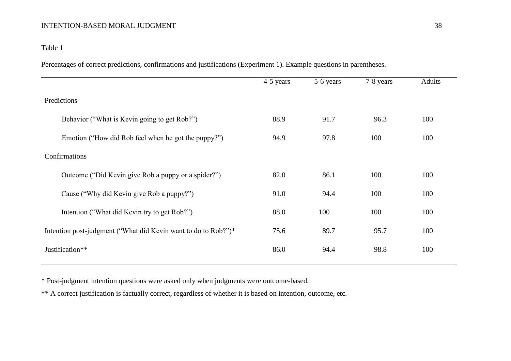# Table 1

Percentages of correct predictions, confirmations and justifications (Experiment 1). Example questions in parentheses.

|                                                                | 4-5 years | 5-6 years | 7-8 years | <b>Adults</b> |
|----------------------------------------------------------------|-----------|-----------|-----------|---------------|
| Predictions                                                    |           |           |           |               |
| Behavior ("What is Kevin going to get Rob?")                   | 88.9      | 91.7      | 96.3      | 100           |
| Emotion ("How did Rob feel when he got the puppy?")            | 94.9      | 97.8      | 100       | 100           |
| Confirmations                                                  |           |           |           |               |
| Outcome ("Did Kevin give Rob a puppy or a spider?")            | 82.0      | 86.1      | 100       | 100           |
| Cause ("Why did Kevin give Rob a puppy?")                      | 91.0      | 94.4      | 100       | 100           |
| Intention ("What did Kevin try to get Rob?")                   | 88.0      | 100       | 100       | 100           |
| Intention post-judgment ("What did Kevin want to do to Rob?")* | 75.6      | 89.7      | 95.7      | 100           |
| Justification**                                                | 86.0      | 94.4      | 98.8      | 100           |

\* Post-judgment intention questions were asked only when judgments were outcome-based.

\*\* A correct justification is factually correct, regardless of whether it is based on intention, outcome, etc.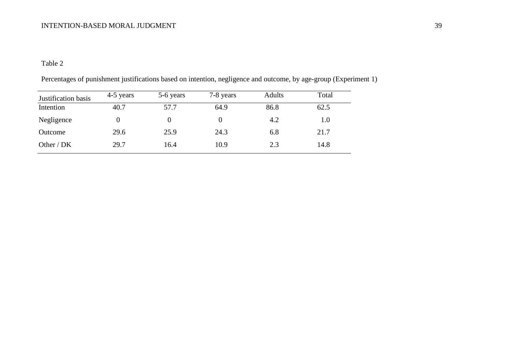# Table 2

| Justification basis | 4-5 years | 5-6 years | 7-8 years | <b>Adults</b> | Total   |
|---------------------|-----------|-----------|-----------|---------------|---------|
| Intention           | 40.7      | 57.7      | 64.9      | 86.8          | 62.5    |
| Negligence          |           |           |           | 4.2           | $1.0\,$ |
| Outcome             | 29.6      | 25.9      | 24.3      | 6.8           | 21.7    |
| Other / $DK$        | 29.7      | 16.4      | 10.9      | 2.3           | 14.8    |

Percentages of punishment justifications based on intention, negligence and outcome, by age-group (Experiment 1)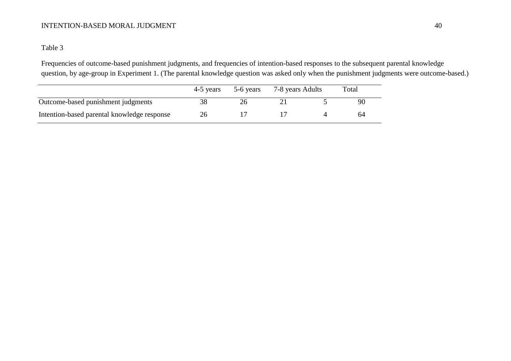# Table 3

Frequencies of outcome-based punishment judgments, and frequencies of intention-based responses to the subsequent parental knowledge question, by age-group in Experiment 1. (The parental knowledge question was asked only when the punishment judgments were outcome-based.)

|                                             | 4-5 years | 5-6 years | 7-8 years Adults | Total |
|---------------------------------------------|-----------|-----------|------------------|-------|
| Outcome-based punishment judgments          | 38        |           |                  | 90    |
| Intention-based parental knowledge response | 26        |           |                  | 64    |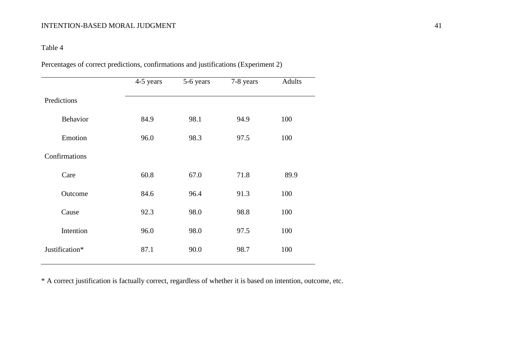# Table 4

Percentages of correct predictions, confirmations and justifications (Experiment 2)

|                | 4-5 years | 5-6 years | 7-8 years | Adults |
|----------------|-----------|-----------|-----------|--------|
| Predictions    |           |           |           |        |
| Behavior       | 84.9      | 98.1      | 94.9      | 100    |
| Emotion        | 96.0      | 98.3      | 97.5      | 100    |
| Confirmations  |           |           |           |        |
| Care           | 60.8      | 67.0      | 71.8      | 89.9   |
| Outcome        | 84.6      | 96.4      | 91.3      | 100    |
| Cause          | 92.3      | 98.0      | 98.8      | 100    |
| Intention      | 96.0      | 98.0      | 97.5      | 100    |
| Justification* | 87.1      | 90.0      | 98.7      | 100    |

\* A correct justification is factually correct, regardless of whether it is based on intention, outcome, etc.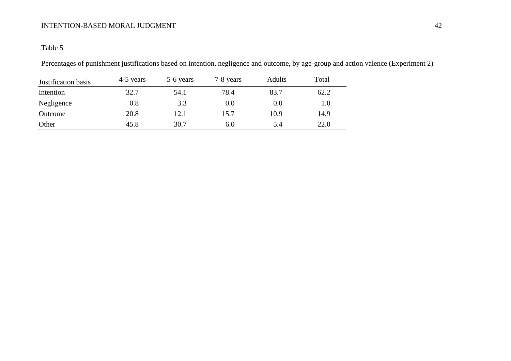# Table 5

Percentages of punishment justifications based on intention, negligence and outcome, by age-group and action valence (Experiment 2)

| Justification basis | 4-5 years | 5-6 years | 7-8 years | <b>Adults</b> | Total |
|---------------------|-----------|-----------|-----------|---------------|-------|
| Intention           | 32.7      | 54.1      | 78.4      | 83.7          | 62.2  |
| Negligence          | 0.8       | 3.3       | 0.0       | $0.0\,$       | 1.0   |
| Outcome             | 20.8      | 12.1      | 15.7      | 10.9          | 14.9  |
| Other               | 45.8      | 30.7      | 6.0       | 5.4           | 22.0  |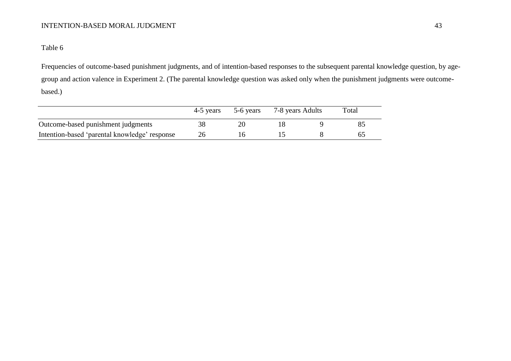# Table 6

Frequencies of outcome-based punishment judgments, and of intention-based responses to the subsequent parental knowledge question, by agegroup and action valence in Experiment 2. (The parental knowledge question was asked only when the punishment judgments were outcomebased.)

|                                               | 4-5 years | 5-6 years | 7-8 years Adults | Total |
|-----------------------------------------------|-----------|-----------|------------------|-------|
| Outcome-based punishment judgments            |           |           |                  |       |
| Intention-based 'parental knowledge' response |           |           |                  |       |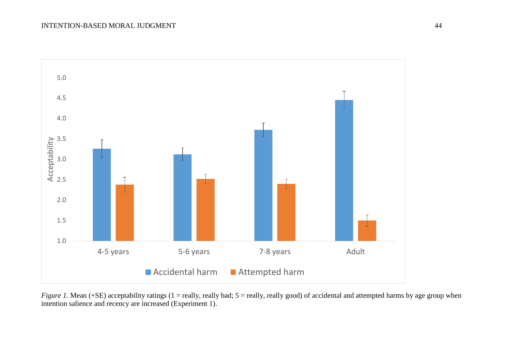

*Figure 1*. Mean (+SE) acceptability ratings (1 = really, really bad; 5 = really, really good) of accidental and attempted harms by age group when intention salience and recency are increased (Experiment 1).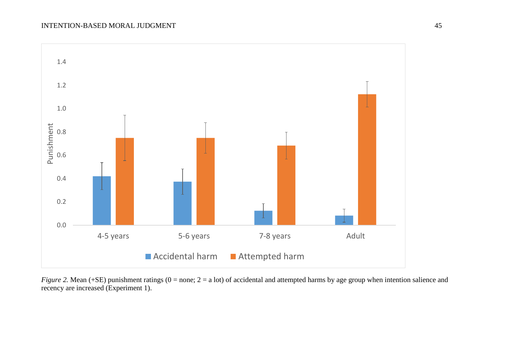

*Figure 2.* Mean (+SE) punishment ratings (0 = none; 2 = a lot) of accidental and attempted harms by age group when intention salience and recency are increased (Experiment 1).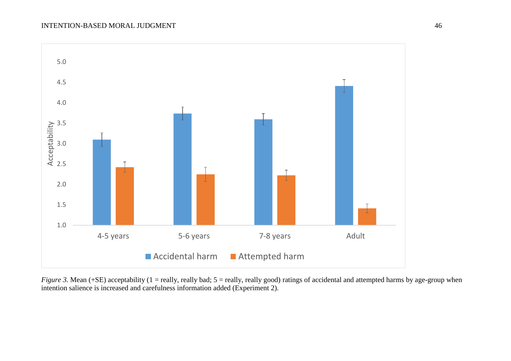

*Figure 3.* Mean (+SE) acceptability (1 = really, really bad; 5 = really, really good) ratings of accidental and attempted harms by age-group when intention salience is increased and carefulness information added (Experiment 2).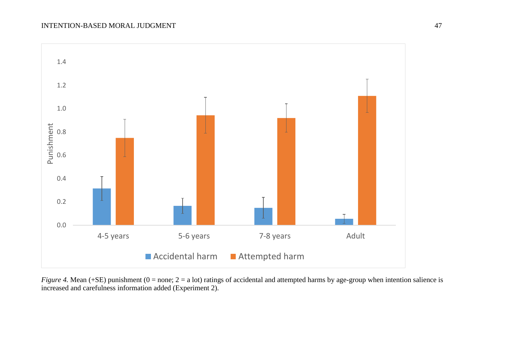

*Figure 4.* Mean (+SE) punishment (0 = none; 2 = a lot) ratings of accidental and attempted harms by age-group when intention salience is increased and carefulness information added (Experiment 2).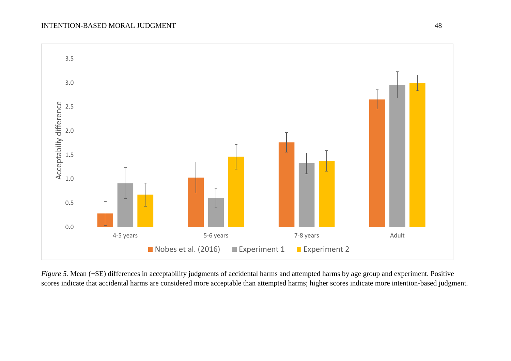

*Figure 5.* Mean (+SE) differences in acceptability judgments of accidental harms and attempted harms by age group and experiment. Positive scores indicate that accidental harms are considered more acceptable than attempted harms; higher scores indicate more intention-based judgment.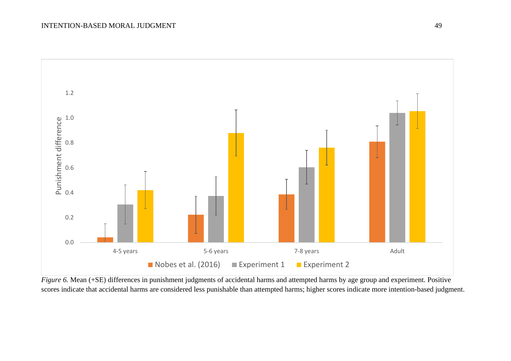

*Figure 6.* Mean (+SE) differences in punishment judgments of accidental harms and attempted harms by age group and experiment. Positive scores indicate that accidental harms are considered less punishable than attempted harms; higher scores indicate more intention-based judgment.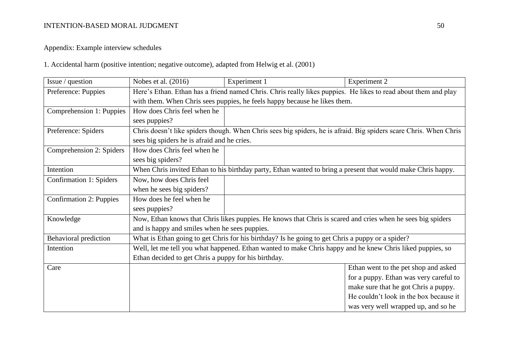# Appendix: Example interview schedules

1. Accidental harm (positive intention; negative outcome), adapted from Helwig et al. (2001)

| Issue / question         | Nobes et al. (2016)                                                                                            | Experiment 1                                                                                                      | <b>Experiment 2</b>                    |  |  |
|--------------------------|----------------------------------------------------------------------------------------------------------------|-------------------------------------------------------------------------------------------------------------------|----------------------------------------|--|--|
| Preference: Puppies      | Here's Ethan. Ethan has a friend named Chris. Chris really likes puppies. He likes to read about them and play |                                                                                                                   |                                        |  |  |
|                          | with them. When Chris sees puppies, he feels happy because he likes them.                                      |                                                                                                                   |                                        |  |  |
| Comprehension 1: Puppies | How does Chris feel when he                                                                                    |                                                                                                                   |                                        |  |  |
|                          | sees puppies?                                                                                                  |                                                                                                                   |                                        |  |  |
| Preference: Spiders      |                                                                                                                | Chris doesn't like spiders though. When Chris sees big spiders, he is afraid. Big spiders scare Chris. When Chris |                                        |  |  |
|                          | sees big spiders he is afraid and he cries.                                                                    |                                                                                                                   |                                        |  |  |
| Comprehension 2: Spiders | How does Chris feel when he                                                                                    |                                                                                                                   |                                        |  |  |
|                          | sees big spiders?                                                                                              |                                                                                                                   |                                        |  |  |
| Intention                |                                                                                                                | When Chris invited Ethan to his birthday party, Ethan wanted to bring a present that would make Chris happy.      |                                        |  |  |
| Confirmation 1: Spiders  | Now, how does Chris feel                                                                                       |                                                                                                                   |                                        |  |  |
|                          | when he sees big spiders?                                                                                      |                                                                                                                   |                                        |  |  |
| Confirmation 2: Puppies  | How does he feel when he                                                                                       |                                                                                                                   |                                        |  |  |
|                          | sees puppies?                                                                                                  |                                                                                                                   |                                        |  |  |
| Knowledge                |                                                                                                                | Now, Ethan knows that Chris likes puppies. He knows that Chris is scared and cries when he sees big spiders       |                                        |  |  |
|                          | and is happy and smiles when he sees puppies.                                                                  |                                                                                                                   |                                        |  |  |
| Behavioral prediction    |                                                                                                                | What is Ethan going to get Chris for his birthday? Is he going to get Chris a puppy or a spider?                  |                                        |  |  |
| Intention                |                                                                                                                | Well, let me tell you what happened. Ethan wanted to make Chris happy and he knew Chris liked puppies, so         |                                        |  |  |
|                          | Ethan decided to get Chris a puppy for his birthday.                                                           |                                                                                                                   |                                        |  |  |
| Care                     |                                                                                                                |                                                                                                                   | Ethan went to the pet shop and asked   |  |  |
|                          |                                                                                                                |                                                                                                                   | for a puppy. Ethan was very careful to |  |  |
|                          |                                                                                                                |                                                                                                                   | make sure that he got Chris a puppy.   |  |  |
|                          |                                                                                                                |                                                                                                                   | He couldn't look in the box because it |  |  |
|                          |                                                                                                                |                                                                                                                   | was very well wrapped up, and so he    |  |  |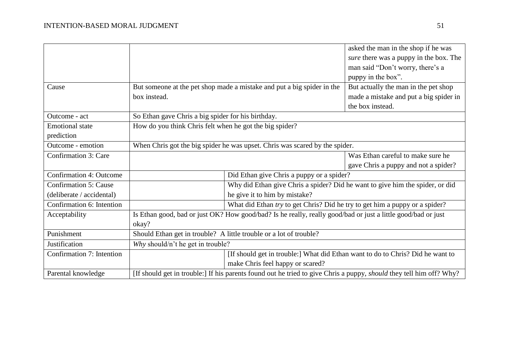|                              |                                                         |                                                                                                                            | asked the man in the shop if he was    |
|------------------------------|---------------------------------------------------------|----------------------------------------------------------------------------------------------------------------------------|----------------------------------------|
|                              |                                                         |                                                                                                                            | sure there was a puppy in the box. The |
|                              |                                                         |                                                                                                                            | man said "Don't worry, there's a       |
|                              |                                                         |                                                                                                                            | puppy in the box".                     |
| Cause                        |                                                         | But someone at the pet shop made a mistake and put a big spider in the                                                     | But actually the man in the pet shop   |
|                              | box instead.                                            |                                                                                                                            | made a mistake and put a big spider in |
|                              |                                                         |                                                                                                                            | the box instead.                       |
| Outcome - act                | So Ethan gave Chris a big spider for his birthday.      |                                                                                                                            |                                        |
| <b>Emotional</b> state       | How do you think Chris felt when he got the big spider? |                                                                                                                            |                                        |
| prediction                   |                                                         |                                                                                                                            |                                        |
| Outcome - emotion            |                                                         | When Chris got the big spider he was upset. Chris was scared by the spider.                                                |                                        |
| Confirmation 3: Care         |                                                         |                                                                                                                            | Was Ethan careful to make sure he      |
|                              |                                                         |                                                                                                                            | gave Chris a puppy and not a spider?   |
| Confirmation 4: Outcome      |                                                         | Did Ethan give Chris a puppy or a spider?                                                                                  |                                        |
| <b>Confirmation 5: Cause</b> |                                                         | Why did Ethan give Chris a spider? Did he want to give him the spider, or did                                              |                                        |
| (deliberate / accidental)    |                                                         | he give it to him by mistake?                                                                                              |                                        |
| Confirmation 6: Intention    |                                                         | What did Ethan try to get Chris? Did he try to get him a puppy or a spider?                                                |                                        |
| Acceptability                |                                                         | Is Ethan good, bad or just OK? How good/bad? Is he really, really good/bad or just a little good/bad or just               |                                        |
|                              | okay?                                                   |                                                                                                                            |                                        |
| Punishment                   |                                                         | Should Ethan get in trouble? A little trouble or a lot of trouble?                                                         |                                        |
| Justification                | Why should/n't he get in trouble?                       |                                                                                                                            |                                        |
| Confirmation 7: Intention    |                                                         | [If should get in trouble:] What did Ethan want to do to Chris? Did he want to                                             |                                        |
|                              |                                                         | make Chris feel happy or scared?                                                                                           |                                        |
| Parental knowledge           |                                                         | [If should get in trouble:] If his parents found out he tried to give Chris a puppy, <i>should</i> they tell him off? Why? |                                        |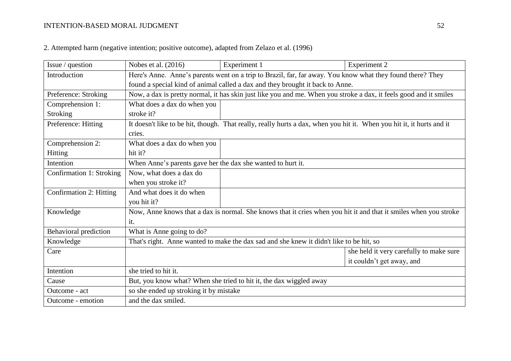| Issue / question             | Nobes et al. (2016)                                                                                       | Experiment 1                                                                                                          | <b>Experiment 2</b>                     |  |  |
|------------------------------|-----------------------------------------------------------------------------------------------------------|-----------------------------------------------------------------------------------------------------------------------|-----------------------------------------|--|--|
| Introduction                 | Here's Anne. Anne's parents went on a trip to Brazil, far, far away. You know what they found there? They |                                                                                                                       |                                         |  |  |
|                              | found a special kind of animal called a dax and they brought it back to Anne.                             |                                                                                                                       |                                         |  |  |
| Preference: Stroking         |                                                                                                           | Now, a dax is pretty normal, it has skin just like you and me. When you stroke a dax, it feels good and it smiles     |                                         |  |  |
| Comprehension 1:             | What does a dax do when you                                                                               |                                                                                                                       |                                         |  |  |
| <b>Stroking</b>              | stroke it?                                                                                                |                                                                                                                       |                                         |  |  |
| Preference: Hitting          |                                                                                                           | It doesn't like to be hit, though. That really, really hurts a dax, when you hit it. When you hit it, it hurts and it |                                         |  |  |
|                              | cries.                                                                                                    |                                                                                                                       |                                         |  |  |
| Comprehension 2:             | What does a dax do when you                                                                               |                                                                                                                       |                                         |  |  |
| <b>Hitting</b>               | hit it?                                                                                                   |                                                                                                                       |                                         |  |  |
| Intention                    | When Anne's parents gave her the dax she wanted to hurt it.                                               |                                                                                                                       |                                         |  |  |
| Confirmation 1: Stroking     | Now, what does a dax do                                                                                   |                                                                                                                       |                                         |  |  |
|                              | when you stroke it?                                                                                       |                                                                                                                       |                                         |  |  |
| Confirmation 2: Hitting      | And what does it do when                                                                                  |                                                                                                                       |                                         |  |  |
|                              | you hit it?                                                                                               |                                                                                                                       |                                         |  |  |
| Knowledge                    |                                                                                                           | Now, Anne knows that a dax is normal. She knows that it cries when you hit it and that it smiles when you stroke      |                                         |  |  |
|                              | it.                                                                                                       |                                                                                                                       |                                         |  |  |
| <b>Behavioral prediction</b> | What is Anne going to do?                                                                                 |                                                                                                                       |                                         |  |  |
| Knowledge                    |                                                                                                           | That's right. Anne wanted to make the dax sad and she knew it didn't like to be hit, so                               |                                         |  |  |
| Care                         |                                                                                                           |                                                                                                                       | she held it very carefully to make sure |  |  |
|                              |                                                                                                           |                                                                                                                       | it couldn't get away, and               |  |  |
| Intention                    | she tried to hit it.                                                                                      |                                                                                                                       |                                         |  |  |
| Cause                        | But, you know what? When she tried to hit it, the dax wiggled away                                        |                                                                                                                       |                                         |  |  |
| Outcome - act                | so she ended up stroking it by mistake                                                                    |                                                                                                                       |                                         |  |  |
| Outcome - emotion            | and the dax smiled.                                                                                       |                                                                                                                       |                                         |  |  |

2. Attempted harm (negative intention; positive outcome), adapted from Zelazo et al. (1996)